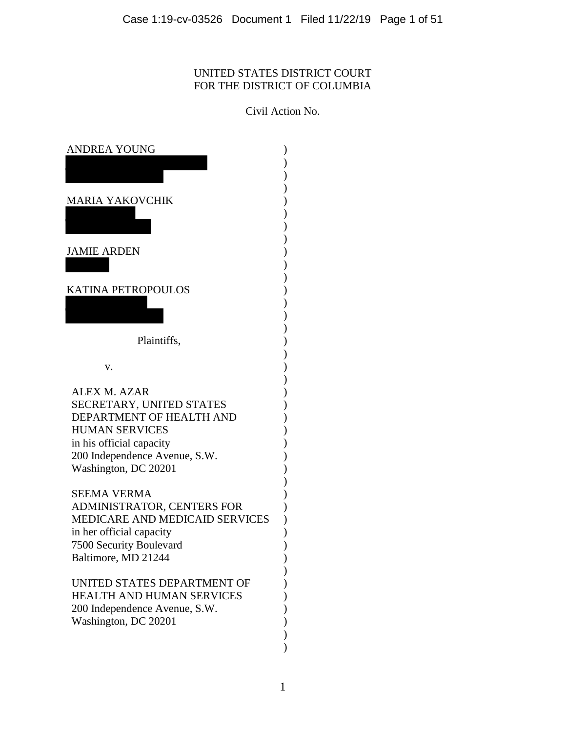# UNITED STATES DISTRICT COURT FOR THE DISTRICT OF COLUMBIA

Civil Action No.

| ANDREA YOUNG                                               |  |
|------------------------------------------------------------|--|
|                                                            |  |
| <b>MARIA YAKOVCHIK</b>                                     |  |
|                                                            |  |
|                                                            |  |
| <b>JAMIE ARDEN</b>                                         |  |
|                                                            |  |
| <b>KATINA PETROPOULOS</b>                                  |  |
|                                                            |  |
|                                                            |  |
| Plaintiffs,                                                |  |
| v.                                                         |  |
|                                                            |  |
| <b>ALEX M. AZAR</b><br>SECRETARY, UNITED STATES            |  |
| DEPARTMENT OF HEALTH AND                                   |  |
| <b>HUMAN SERVICES</b>                                      |  |
| in his official capacity<br>200 Independence Avenue, S.W.  |  |
| Washington, DC 20201                                       |  |
| <b>SEEMA VERMA</b>                                         |  |
| ADMINISTRATOR, CENTERS FOR                                 |  |
| MEDICARE AND MEDICAID SERVICES<br>in her official capacity |  |
| 7500 Security Boulevard                                    |  |
| Baltimore, MD 21244                                        |  |
| UNITED STATES DEPARTMENT OF                                |  |
| <b>HEALTH AND HUMAN SERVICES</b>                           |  |
| 200 Independence Avenue, S.W.<br>Washington, DC 20201      |  |
|                                                            |  |
|                                                            |  |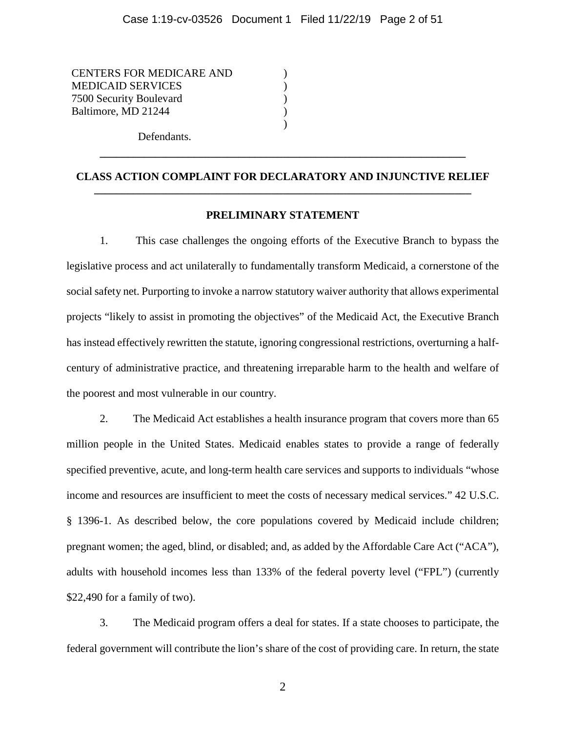) ) ) ) )

CENTERS FOR MEDICARE AND MEDICAID SERVICES 7500 Security Boulevard Baltimore, MD 21244

Defendants.

# **CLASS ACTION COMPLAINT FOR DECLARATORY AND INJUNCTIVE RELIEF \_\_\_\_\_\_\_\_\_\_\_\_\_\_\_\_\_\_\_\_\_\_\_\_\_\_\_\_\_\_\_\_\_\_\_\_\_\_\_\_\_\_\_\_\_\_\_\_\_\_\_\_\_\_\_\_\_\_\_\_\_\_\_\_\_\_\_\_**

**\_\_\_\_\_\_\_\_\_\_\_\_\_\_\_\_\_\_\_\_\_\_\_\_\_\_\_\_\_\_\_\_\_\_\_\_\_\_\_\_\_\_\_\_\_\_\_\_\_\_\_\_\_\_\_\_\_\_\_\_\_\_\_\_\_\_**

# **PRELIMINARY STATEMENT**

1. This case challenges the ongoing efforts of the Executive Branch to bypass the legislative process and act unilaterally to fundamentally transform Medicaid, a cornerstone of the social safety net. Purporting to invoke a narrow statutory waiver authority that allows experimental projects "likely to assist in promoting the objectives" of the Medicaid Act, the Executive Branch has instead effectively rewritten the statute, ignoring congressional restrictions, overturning a halfcentury of administrative practice, and threatening irreparable harm to the health and welfare of the poorest and most vulnerable in our country.

2. The Medicaid Act establishes a health insurance program that covers more than 65 million people in the United States. Medicaid enables states to provide a range of federally specified preventive, acute, and long-term health care services and supports to individuals "whose income and resources are insufficient to meet the costs of necessary medical services." 42 U.S.C. § 1396-1. As described below, the core populations covered by Medicaid include children; pregnant women; the aged, blind, or disabled; and, as added by the Affordable Care Act ("ACA"), adults with household incomes less than 133% of the federal poverty level ("FPL") (currently \$22,490 for a family of two).

3. The Medicaid program offers a deal for states. If a state chooses to participate, the federal government will contribute the lion's share of the cost of providing care. In return, the state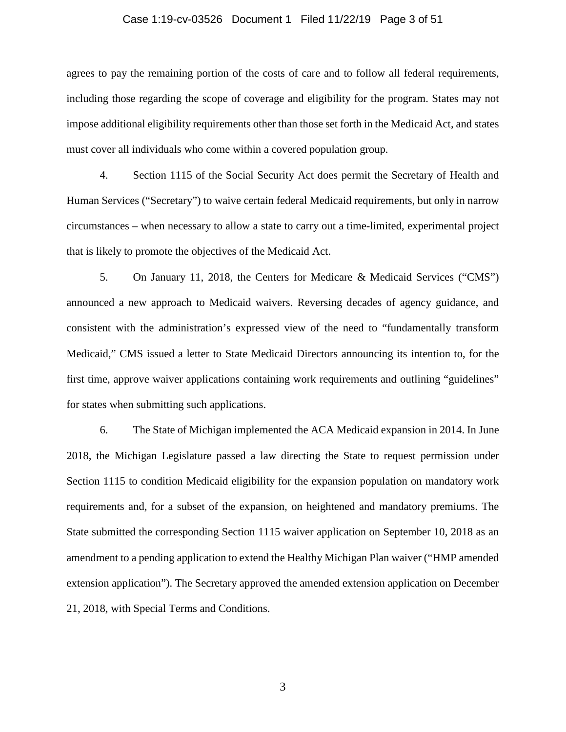#### Case 1:19-cv-03526 Document 1 Filed 11/22/19 Page 3 of 51

agrees to pay the remaining portion of the costs of care and to follow all federal requirements, including those regarding the scope of coverage and eligibility for the program. States may not impose additional eligibility requirements other than those set forth in the Medicaid Act, and states must cover all individuals who come within a covered population group.

4. Section 1115 of the Social Security Act does permit the Secretary of Health and Human Services ("Secretary") to waive certain federal Medicaid requirements, but only in narrow circumstances – when necessary to allow a state to carry out a time-limited, experimental project that is likely to promote the objectives of the Medicaid Act.

5. On January 11, 2018, the Centers for Medicare & Medicaid Services ("CMS") announced a new approach to Medicaid waivers. Reversing decades of agency guidance, and consistent with the administration's expressed view of the need to "fundamentally transform Medicaid," CMS issued a letter to State Medicaid Directors announcing its intention to, for the first time, approve waiver applications containing work requirements and outlining "guidelines" for states when submitting such applications.

6. The State of Michigan implemented the ACA Medicaid expansion in 2014. In June 2018, the Michigan Legislature passed a law directing the State to request permission under Section 1115 to condition Medicaid eligibility for the expansion population on mandatory work requirements and, for a subset of the expansion, on heightened and mandatory premiums. The State submitted the corresponding Section 1115 waiver application on September 10, 2018 as an amendment to a pending application to extend the Healthy Michigan Plan waiver ("HMP amended extension application"). The Secretary approved the amended extension application on December 21, 2018, with Special Terms and Conditions.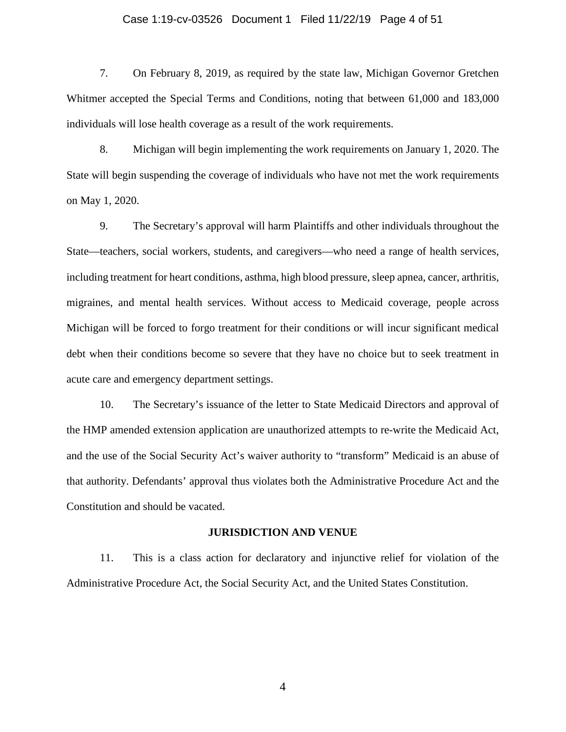# Case 1:19-cv-03526 Document 1 Filed 11/22/19 Page 4 of 51

7. On February 8, 2019, as required by the state law, Michigan Governor Gretchen Whitmer accepted the Special Terms and Conditions, noting that between 61,000 and 183,000 individuals will lose health coverage as a result of the work requirements.

8. Michigan will begin implementing the work requirements on January 1, 2020. The State will begin suspending the coverage of individuals who have not met the work requirements on May 1, 2020.

9. The Secretary's approval will harm Plaintiffs and other individuals throughout the State—teachers, social workers, students, and caregivers—who need a range of health services, including treatment for heart conditions, asthma, high blood pressure, sleep apnea, cancer, arthritis, migraines, and mental health services. Without access to Medicaid coverage, people across Michigan will be forced to forgo treatment for their conditions or will incur significant medical debt when their conditions become so severe that they have no choice but to seek treatment in acute care and emergency department settings.

10. The Secretary's issuance of the letter to State Medicaid Directors and approval of the HMP amended extension application are unauthorized attempts to re-write the Medicaid Act, and the use of the Social Security Act's waiver authority to "transform" Medicaid is an abuse of that authority. Defendants' approval thus violates both the Administrative Procedure Act and the Constitution and should be vacated.

#### **JURISDICTION AND VENUE**

11. This is a class action for declaratory and injunctive relief for violation of the Administrative Procedure Act, the Social Security Act, and the United States Constitution.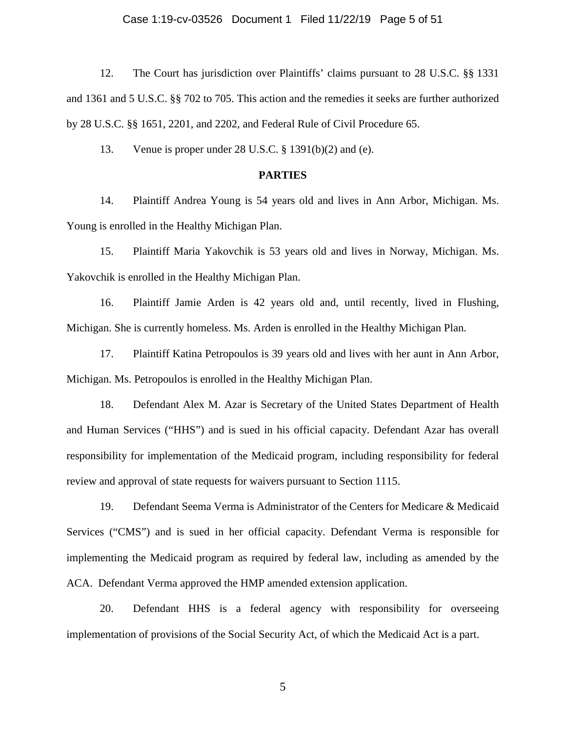# Case 1:19-cv-03526 Document 1 Filed 11/22/19 Page 5 of 51

12. The Court has jurisdiction over Plaintiffs' claims pursuant to 28 U.S.C. §§ 1331 and 1361 and 5 U.S.C. §§ 702 to 705. This action and the remedies it seeks are further authorized by 28 U.S.C. §§ 1651, 2201, and 2202, and Federal Rule of Civil Procedure 65.

13. Venue is proper under 28 U.S.C. § 1391(b)(2) and (e).

# **PARTIES**

14. Plaintiff Andrea Young is 54 years old and lives in Ann Arbor, Michigan. Ms. Young is enrolled in the Healthy Michigan Plan.

15. Plaintiff Maria Yakovchik is 53 years old and lives in Norway, Michigan. Ms. Yakovchik is enrolled in the Healthy Michigan Plan.

16. Plaintiff Jamie Arden is 42 years old and, until recently, lived in Flushing, Michigan. She is currently homeless. Ms. Arden is enrolled in the Healthy Michigan Plan.

17. Plaintiff Katina Petropoulos is 39 years old and lives with her aunt in Ann Arbor, Michigan. Ms. Petropoulos is enrolled in the Healthy Michigan Plan.

18. Defendant Alex M. Azar is Secretary of the United States Department of Health and Human Services ("HHS") and is sued in his official capacity. Defendant Azar has overall responsibility for implementation of the Medicaid program, including responsibility for federal review and approval of state requests for waivers pursuant to Section 1115.

19. Defendant Seema Verma is Administrator of the Centers for Medicare & Medicaid Services ("CMS") and is sued in her official capacity. Defendant Verma is responsible for implementing the Medicaid program as required by federal law, including as amended by the ACA. Defendant Verma approved the HMP amended extension application.

20. Defendant HHS is a federal agency with responsibility for overseeing implementation of provisions of the Social Security Act, of which the Medicaid Act is a part.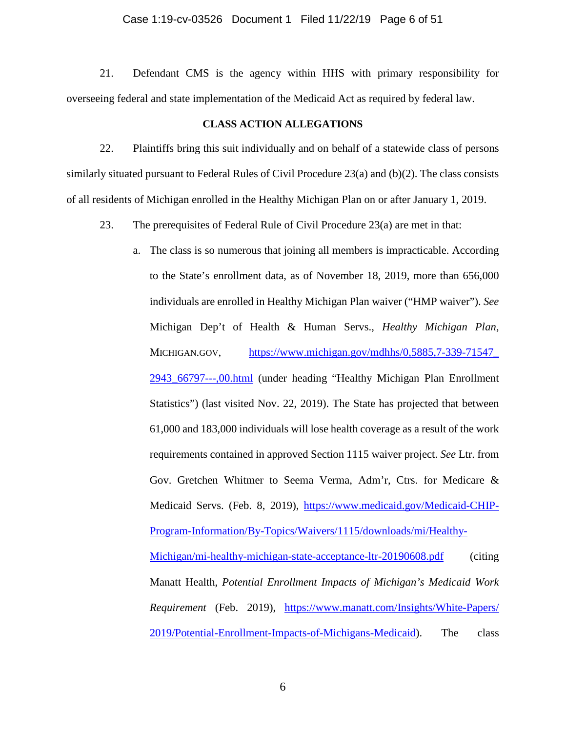# Case 1:19-cv-03526 Document 1 Filed 11/22/19 Page 6 of 51

21. Defendant CMS is the agency within HHS with primary responsibility for overseeing federal and state implementation of the Medicaid Act as required by federal law.

# **CLASS ACTION ALLEGATIONS**

22. Plaintiffs bring this suit individually and on behalf of a statewide class of persons similarly situated pursuant to Federal Rules of Civil Procedure 23(a) and (b)(2). The class consists of all residents of Michigan enrolled in the Healthy Michigan Plan on or after January 1, 2019.

- 23. The prerequisites of Federal Rule of Civil Procedure 23(a) are met in that:
	- a. The class is so numerous that joining all members is impracticable. According to the State's enrollment data, as of November 18, 2019, more than 656,000 individuals are enrolled in Healthy Michigan Plan waiver ("HMP waiver"). *See*  Michigan Dep't of Health & Human Servs., *Healthy Michigan Plan*, MICHIGAN.GOV, [https://www.michigan.gov/mdhhs/0,5885,7-339-71547\\_](https://www.michigan.gov/mdhhs/%E2%80%8C0,5885,7-339-71547_%E2%80%8C2943_%E2%80%8C66797---,00.html) [2943\\_66797---,00.html](https://www.michigan.gov/mdhhs/%E2%80%8C0,5885,7-339-71547_%E2%80%8C2943_%E2%80%8C66797---,00.html) (under heading "Healthy Michigan Plan Enrollment Statistics") (last visited Nov. 22, 2019). The State has projected that between 61,000 and 183,000 individuals will lose health coverage as a result of the work requirements contained in approved Section 1115 waiver project. *See* Ltr. from Gov. Gretchen Whitmer to Seema Verma, Adm'r, Ctrs. for Medicare & Medicaid Servs. (Feb. 8, 2019), [https://www.medicaid.gov/Medicaid-CHIP-](https://www.medicaid.gov/Medicaid-CHIP-Program-Information/By-Topics/%E2%80%8CWaivers/%E2%80%8C1115/%E2%80%8Cdownloads/mi/Healthy-Michigan/%E2%80%8Cmi-healthy-michigan-state-acceptance-ltr-20190608.pdf)[Program-Information/By-Topics/Waivers/1115/downloads/mi/Healthy-](https://www.medicaid.gov/Medicaid-CHIP-Program-Information/By-Topics/%E2%80%8CWaivers/%E2%80%8C1115/%E2%80%8Cdownloads/mi/Healthy-Michigan/%E2%80%8Cmi-healthy-michigan-state-acceptance-ltr-20190608.pdf)[Michigan/mi-healthy-michigan-state-acceptance-ltr-20190608.pdf](https://www.medicaid.gov/Medicaid-CHIP-Program-Information/By-Topics/%E2%80%8CWaivers/%E2%80%8C1115/%E2%80%8Cdownloads/mi/Healthy-Michigan/%E2%80%8Cmi-healthy-michigan-state-acceptance-ltr-20190608.pdf) (citing Manatt Health, *Potential Enrollment Impacts of Michigan's Medicaid Work Requirement* (Feb. 2019), [https://www.manatt.com/Insights/White-Papers/](https://www.manatt.com/Insights/White-Papers/%E2%80%8C2019%E2%80%8C/Potential-Enrollment-Impacts-of-Michigans-Medicaid) [2019/Potential-Enrollment-Impacts-of-Michigans-Medicaid\)](https://www.manatt.com/Insights/White-Papers/%E2%80%8C2019%E2%80%8C/Potential-Enrollment-Impacts-of-Michigans-Medicaid). The class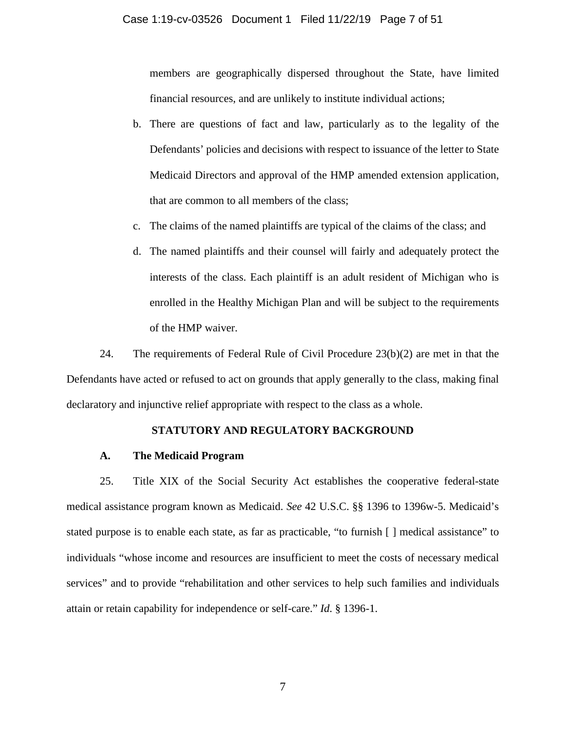members are geographically dispersed throughout the State, have limited financial resources, and are unlikely to institute individual actions;

- b. There are questions of fact and law, particularly as to the legality of the Defendants' policies and decisions with respect to issuance of the letter to State Medicaid Directors and approval of the HMP amended extension application, that are common to all members of the class;
- c. The claims of the named plaintiffs are typical of the claims of the class; and
- d. The named plaintiffs and their counsel will fairly and adequately protect the interests of the class. Each plaintiff is an adult resident of Michigan who is enrolled in the Healthy Michigan Plan and will be subject to the requirements of the HMP waiver.

24. The requirements of Federal Rule of Civil Procedure 23(b)(2) are met in that the Defendants have acted or refused to act on grounds that apply generally to the class, making final declaratory and injunctive relief appropriate with respect to the class as a whole.

# **STATUTORY AND REGULATORY BACKGROUND**

# **A. The Medicaid Program**

25. Title XIX of the Social Security Act establishes the cooperative federal-state medical assistance program known as Medicaid. *See* 42 U.S.C. §§ 1396 to 1396w-5. Medicaid's stated purpose is to enable each state, as far as practicable, "to furnish [ ] medical assistance" to individuals "whose income and resources are insufficient to meet the costs of necessary medical services" and to provide "rehabilitation and other services to help such families and individuals attain or retain capability for independence or self-care." *Id*. § 1396-1.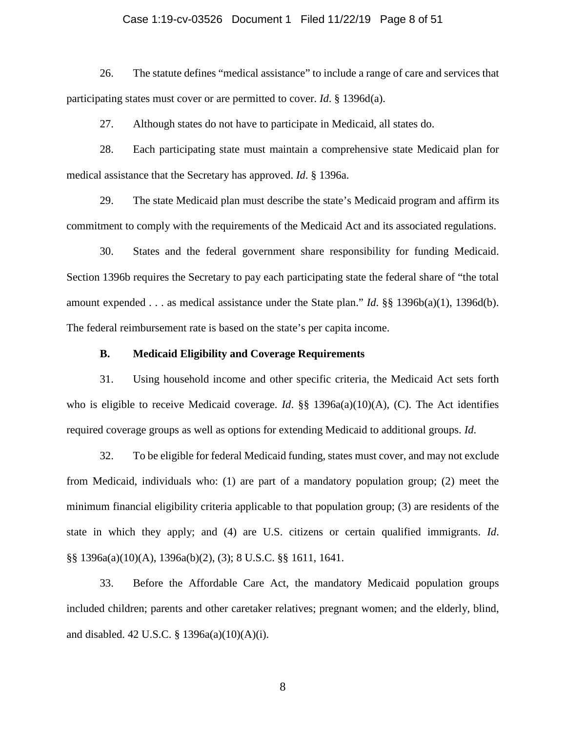# Case 1:19-cv-03526 Document 1 Filed 11/22/19 Page 8 of 51

26. The statute defines "medical assistance" to include a range of care and services that participating states must cover or are permitted to cover. *Id*. § 1396d(a).

27. Although states do not have to participate in Medicaid, all states do.

28. Each participating state must maintain a comprehensive state Medicaid plan for medical assistance that the Secretary has approved. *Id*. § 1396a.

29. The state Medicaid plan must describe the state's Medicaid program and affirm its commitment to comply with the requirements of the Medicaid Act and its associated regulations.

30. States and the federal government share responsibility for funding Medicaid. Section 1396b requires the Secretary to pay each participating state the federal share of "the total amount expended . . . as medical assistance under the State plan." *Id*. §§ 1396b(a)(1), 1396d(b). The federal reimbursement rate is based on the state's per capita income.

# **B. Medicaid Eligibility and Coverage Requirements**

31. Using household income and other specific criteria, the Medicaid Act sets forth who is eligible to receive Medicaid coverage. *Id*. §§ 1396a(a)(10)(A), (C). The Act identifies required coverage groups as well as options for extending Medicaid to additional groups. *Id*.

32. To be eligible for federal Medicaid funding, states must cover, and may not exclude from Medicaid, individuals who: (1) are part of a mandatory population group; (2) meet the minimum financial eligibility criteria applicable to that population group; (3) are residents of the state in which they apply; and (4) are U.S. citizens or certain qualified immigrants. *Id*. §§ 1396a(a)(10)(A), 1396a(b)(2), (3); 8 U.S.C. §§ 1611, 1641.

33. Before the Affordable Care Act, the mandatory Medicaid population groups included children; parents and other caretaker relatives; pregnant women; and the elderly, blind, and disabled. 42 U.S.C. § 1396a(a)(10)(A)(i).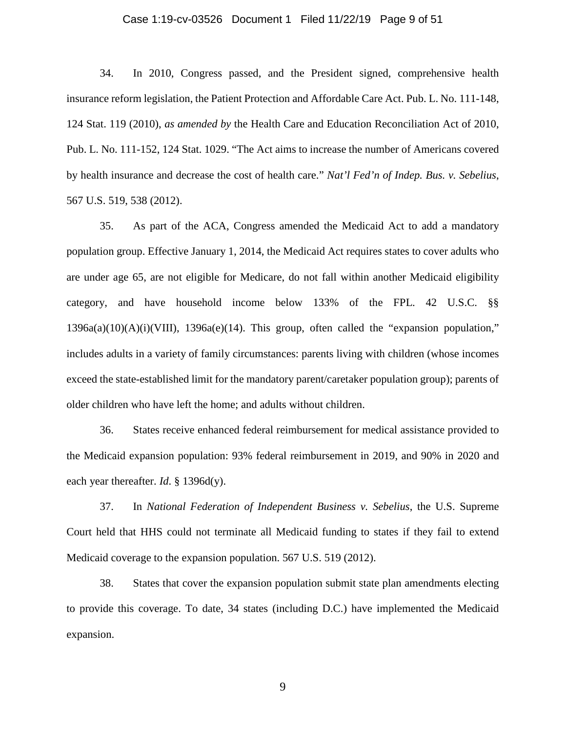# Case 1:19-cv-03526 Document 1 Filed 11/22/19 Page 9 of 51

34. In 2010, Congress passed, and the President signed, comprehensive health insurance reform legislation, the Patient Protection and Affordable Care Act. Pub. L. No. 111-148, 124 Stat. 119 (2010), *as amended by* the Health Care and Education Reconciliation Act of 2010, Pub. L. No. 111-152, 124 Stat. 1029. "The Act aims to increase the number of Americans covered by health insurance and decrease the cost of health care." *Nat'l Fed'n of Indep. Bus. v. Sebelius*, 567 U.S. 519, 538 (2012).

35. As part of the ACA, Congress amended the Medicaid Act to add a mandatory population group. Effective January 1, 2014, the Medicaid Act requires states to cover adults who are under age 65, are not eligible for Medicare, do not fall within another Medicaid eligibility category, and have household income below 133% of the FPL. 42 U.S.C. §§  $1396a(a)(10)(A)(i)(VIII)$ ,  $1396a(e)(14)$ . This group, often called the "expansion population," includes adults in a variety of family circumstances: parents living with children (whose incomes exceed the state-established limit for the mandatory parent/caretaker population group); parents of older children who have left the home; and adults without children.

36. States receive enhanced federal reimbursement for medical assistance provided to the Medicaid expansion population: 93% federal reimbursement in 2019, and 90% in 2020 and each year thereafter. *Id*. § 1396d(y).

37. In *National Federation of Independent Business v. Sebelius*, the U.S. Supreme Court held that HHS could not terminate all Medicaid funding to states if they fail to extend Medicaid coverage to the expansion population. 567 U.S. 519 (2012).

38. States that cover the expansion population submit state plan amendments electing to provide this coverage. To date, 34 states (including D.C.) have implemented the Medicaid expansion.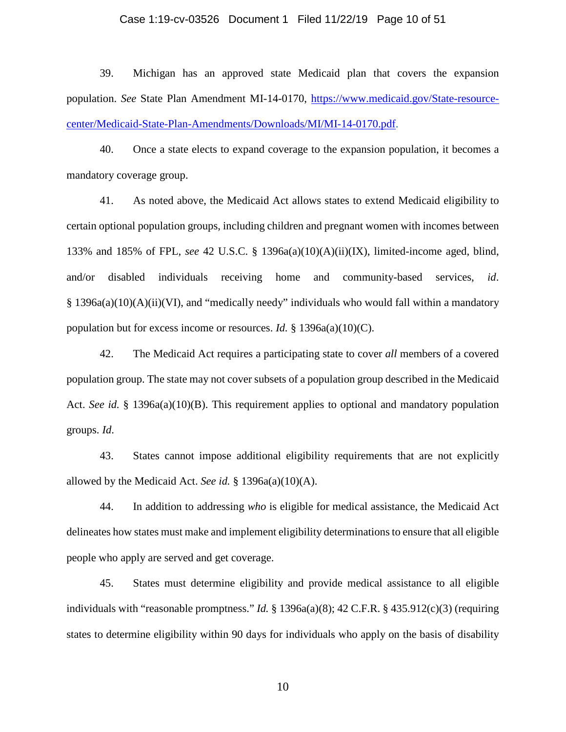# Case 1:19-cv-03526 Document 1 Filed 11/22/19 Page 10 of 51

39. Michigan has an approved state Medicaid plan that covers the expansion population. *See* State Plan Amendment MI-14-0170, [https://www.medicaid.gov/State-resource](https://www.medicaid.gov/State-resource-center/Medicaid-State-Plan-Amendments/Downloads/MI/MI-14-0170.pdf)[center/Medicaid-State-Plan-Amendments/Downloads/MI/MI-14-0170.pdf.](https://www.medicaid.gov/State-resource-center/Medicaid-State-Plan-Amendments/Downloads/MI/MI-14-0170.pdf)

40. Once a state elects to expand coverage to the expansion population, it becomes a mandatory coverage group.

41. As noted above, the Medicaid Act allows states to extend Medicaid eligibility to certain optional population groups, including children and pregnant women with incomes between 133% and 185% of FPL, *see* 42 U.S.C. § 1396a(a)(10)(A)(ii)(IX), limited-income aged, blind, and/or disabled individuals receiving home and community-based services, *id*. § 1396a(a)(10)(A)(ii)(VI), and "medically needy" individuals who would fall within a mandatory population but for excess income or resources. *Id.* § 1396a(a)(10)(C).

42. The Medicaid Act requires a participating state to cover *all* members of a covered population group. The state may not cover subsets of a population group described in the Medicaid Act. *See id.* § 1396a(a)(10)(B). This requirement applies to optional and mandatory population groups. *Id*.

43. States cannot impose additional eligibility requirements that are not explicitly allowed by the Medicaid Act. *See id.* § 1396a(a)(10)(A).

44. In addition to addressing *who* is eligible for medical assistance, the Medicaid Act delineates how states must make and implement eligibility determinations to ensure that all eligible people who apply are served and get coverage.

45. States must determine eligibility and provide medical assistance to all eligible individuals with "reasonable promptness." *Id.* § 1396a(a)(8); 42 C.F.R. § 435.912(c)(3) (requiring states to determine eligibility within 90 days for individuals who apply on the basis of disability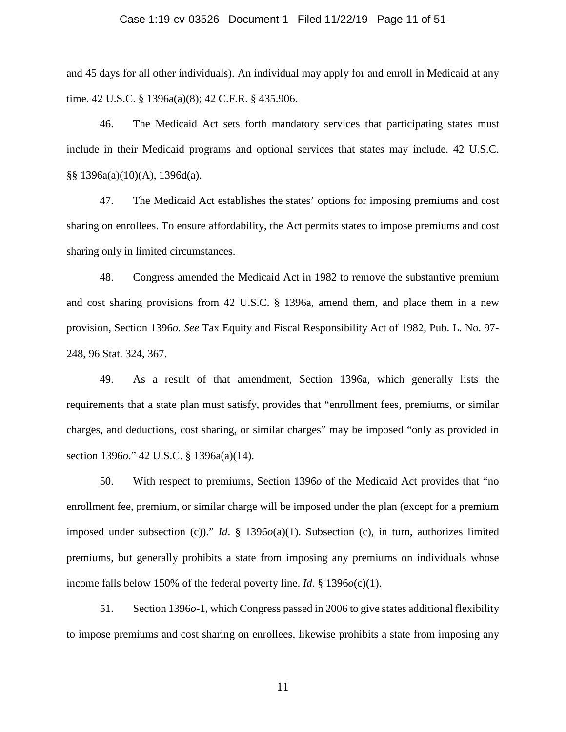# Case 1:19-cv-03526 Document 1 Filed 11/22/19 Page 11 of 51

and 45 days for all other individuals). An individual may apply for and enroll in Medicaid at any time. 42 U.S.C. § 1396a(a)(8); 42 C.F.R. § 435.906.

46. The Medicaid Act sets forth mandatory services that participating states must include in their Medicaid programs and optional services that states may include. 42 U.S.C. §§ 1396a(a)(10)(A), 1396d(a).

47. The Medicaid Act establishes the states' options for imposing premiums and cost sharing on enrollees. To ensure affordability, the Act permits states to impose premiums and cost sharing only in limited circumstances.

48. Congress amended the Medicaid Act in 1982 to remove the substantive premium and cost sharing provisions from 42 U.S.C. § 1396a, amend them, and place them in a new provision, Section 1396*o*. *See* Tax Equity and Fiscal Responsibility Act of 1982, Pub. L. No. 97- 248, 96 Stat. 324, 367.

49. As a result of that amendment, Section 1396a, which generally lists the requirements that a state plan must satisfy, provides that "enrollment fees, premiums, or similar charges, and deductions, cost sharing, or similar charges" may be imposed "only as provided in section 1396*o*." 42 U.S.C. § 1396a(a)(14).

50. With respect to premiums, Section 1396*o* of the Medicaid Act provides that "no enrollment fee, premium, or similar charge will be imposed under the plan (except for a premium imposed under subsection (c))." *Id*. § 1396*o*(a)(1). Subsection (c), in turn, authorizes limited premiums, but generally prohibits a state from imposing any premiums on individuals whose income falls below 150% of the federal poverty line. *Id*. § 1396*o*(c)(1).

51. Section 1396*o*-1, which Congress passed in 2006 to give states additional flexibility to impose premiums and cost sharing on enrollees, likewise prohibits a state from imposing any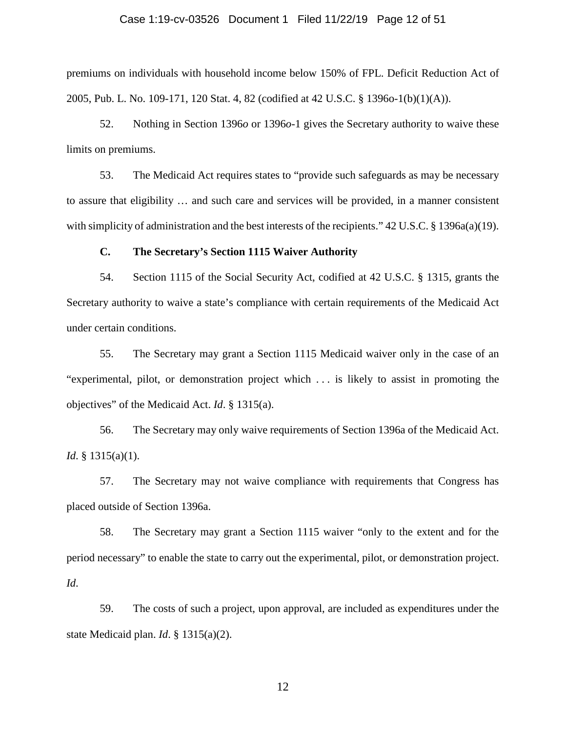# Case 1:19-cv-03526 Document 1 Filed 11/22/19 Page 12 of 51

premiums on individuals with household income below 150% of FPL. Deficit Reduction Act of 2005, Pub. L. No. 109-171, 120 Stat. 4, 82 (codified at 42 U.S.C. § 1396o-1(b)(1)(A)).

52. Nothing in Section 1396*o* or 1396*o*-1 gives the Secretary authority to waive these limits on premiums.

53. The Medicaid Act requires states to "provide such safeguards as may be necessary to assure that eligibility … and such care and services will be provided, in a manner consistent with simplicity of administration and the best interests of the recipients." 42 U.S.C. § 1396a(a)(19).

# **C. The Secretary's Section 1115 Waiver Authority**

54. Section 1115 of the Social Security Act, codified at 42 U.S.C. § 1315, grants the Secretary authority to waive a state's compliance with certain requirements of the Medicaid Act under certain conditions.

55. The Secretary may grant a Section 1115 Medicaid waiver only in the case of an "experimental, pilot, or demonstration project which . . . is likely to assist in promoting the objectives" of the Medicaid Act. *Id*. § 1315(a).

56. The Secretary may only waive requirements of Section 1396a of the Medicaid Act. *Id*. § 1315(a)(1).

57. The Secretary may not waive compliance with requirements that Congress has placed outside of Section 1396a.

58. The Secretary may grant a Section 1115 waiver "only to the extent and for the period necessary" to enable the state to carry out the experimental, pilot, or demonstration project. *Id*.

59. The costs of such a project, upon approval, are included as expenditures under the state Medicaid plan. *Id*. § 1315(a)(2).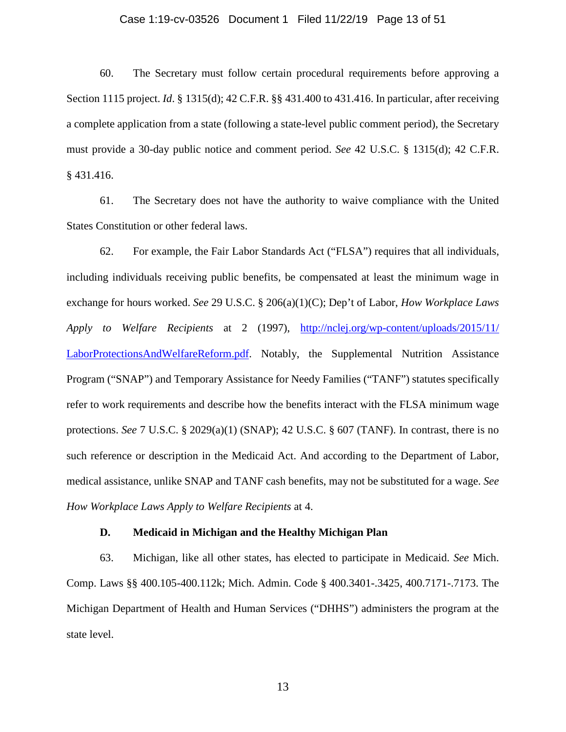#### Case 1:19-cv-03526 Document 1 Filed 11/22/19 Page 13 of 51

60. The Secretary must follow certain procedural requirements before approving a Section 1115 project. *Id*. § 1315(d); 42 C.F.R. §§ 431.400 to 431.416. In particular, after receiving a complete application from a state (following a state-level public comment period), the Secretary must provide a 30-day public notice and comment period. *See* 42 U.S.C. § 1315(d); 42 C.F.R. § 431.416.

61. The Secretary does not have the authority to waive compliance with the United States Constitution or other federal laws.

62. For example, the Fair Labor Standards Act ("FLSA") requires that all individuals, including individuals receiving public benefits, be compensated at least the minimum wage in exchange for hours worked. *See* 29 U.S.C. § 206(a)(1)(C); Dep't of Labor, *How Workplace Laws Apply to Welfare Recipients* at 2 (1997), [http://nclej.org/wp-content/uploads/2015/11/](http://nclej.org/wp-content/uploads/2015/11/%E2%80%8CLaborProtectionsAndWelfareReform.pdf) [LaborProtectionsAndWelfareReform.pdf.](http://nclej.org/wp-content/uploads/2015/11/%E2%80%8CLaborProtectionsAndWelfareReform.pdf) Notably, the Supplemental Nutrition Assistance Program ("SNAP") and Temporary Assistance for Needy Families ("TANF") statutes specifically refer to work requirements and describe how the benefits interact with the FLSA minimum wage protections. *See* 7 U.S.C. § 2029(a)(1) (SNAP); 42 U.S.C. § 607 (TANF). In contrast, there is no such reference or description in the Medicaid Act. And according to the Department of Labor, medical assistance, unlike SNAP and TANF cash benefits, may not be substituted for a wage. *See How Workplace Laws Apply to Welfare Recipients* at 4.

# **D. Medicaid in Michigan and the Healthy Michigan Plan**

63. Michigan, like all other states, has elected to participate in Medicaid. *See* Mich. Comp. Laws §§ 400.105-400.112k; Mich. Admin. Code § 400.3401-.3425, 400.7171-.7173. The Michigan Department of Health and Human Services ("DHHS") administers the program at the state level.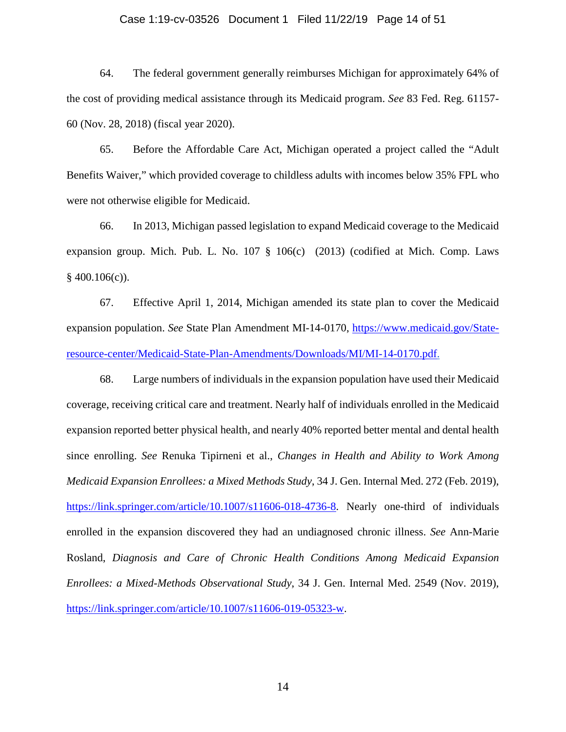#### Case 1:19-cv-03526 Document 1 Filed 11/22/19 Page 14 of 51

64. The federal government generally reimburses Michigan for approximately 64% of the cost of providing medical assistance through its Medicaid program. *See* 83 Fed. Reg. 61157- 60 (Nov. 28, 2018) (fiscal year 2020).

65. Before the Affordable Care Act, Michigan operated a project called the "Adult Benefits Waiver," which provided coverage to childless adults with incomes below 35% FPL who were not otherwise eligible for Medicaid.

66. In 2013, Michigan passed legislation to expand Medicaid coverage to the Medicaid expansion group. Mich. Pub. L. No. 107 § 106(c) (2013) (codified at Mich. Comp. Laws  $§$  400.106(c)).

67. Effective April 1, 2014, Michigan amended its state plan to cover the Medicaid expansion population. *See* State Plan Amendment MI-14-0170, [https://www.medicaid.gov/State](https://www.medicaid.gov/%E2%80%8CState-resource-center/%E2%80%8CMedicaid-State-Plan-Amendments/Downloads/MI/MI-14-0170.pdf)[resource-center/Medicaid-State-Plan-Amendments/Downloads/MI/MI-14-0170.pdf.](https://www.medicaid.gov/%E2%80%8CState-resource-center/%E2%80%8CMedicaid-State-Plan-Amendments/Downloads/MI/MI-14-0170.pdf)

68. Large numbers of individuals in the expansion population have used their Medicaid coverage, receiving critical care and treatment. Nearly half of individuals enrolled in the Medicaid expansion reported better physical health, and nearly 40% reported better mental and dental health since enrolling. *See* Renuka Tipirneni et al., *Changes in Health and Ability to Work Among Medicaid Expansion Enrollees: a Mixed Methods Study*, 34 J. Gen. Internal Med. 272 (Feb. 2019), [https://link.springer.com/article/10.1007/s11606-018-4736-8.](https://link.springer.com/article/10.1007/s11606-018-4736-8) Nearly one-third of individuals enrolled in the expansion discovered they had an undiagnosed chronic illness. *See* Ann-Marie Rosland, *Diagnosis and Care of Chronic Health Conditions Among Medicaid Expansion Enrollees: a Mixed-Methods Observational Study*, 34 J. Gen. Internal Med. 2549 (Nov. 2019), [https://link.springer.com/article/10.1007/s11606-019-05323-w.](https://link.springer.com/article/10.1007/s11606-019-05323-w)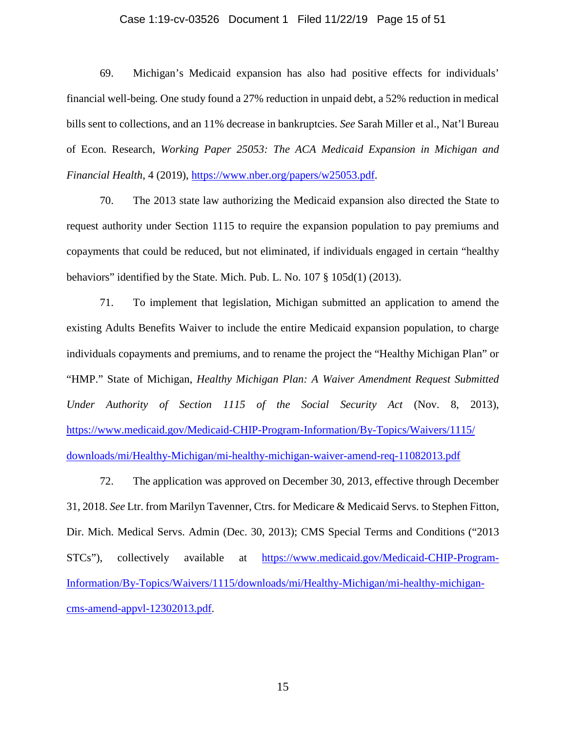#### Case 1:19-cv-03526 Document 1 Filed 11/22/19 Page 15 of 51

69. Michigan's Medicaid expansion has also had positive effects for individuals' financial well-being. One study found a 27% reduction in unpaid debt, a 52% reduction in medical bills sent to collections, and an 11% decrease in bankruptcies. *See* Sarah Miller et al., Nat'l Bureau of Econ. Research, *Working Paper 25053: The ACA Medicaid Expansion in Michigan and Financial Health*, 4 (2019), [https://www.nber.org/papers/w25053.pdf.](https://www.nber.org/papers/w25053.pdf)

70. The 2013 state law authorizing the Medicaid expansion also directed the State to request authority under Section 1115 to require the expansion population to pay premiums and copayments that could be reduced, but not eliminated, if individuals engaged in certain "healthy behaviors" identified by the State. Mich. Pub. L. No. 107 § 105d(1) (2013).

71. To implement that legislation, Michigan submitted an application to amend the existing Adults Benefits Waiver to include the entire Medicaid expansion population, to charge individuals copayments and premiums, and to rename the project the "Healthy Michigan Plan" or "HMP." State of Michigan, *Healthy Michigan Plan: A Waiver Amendment Request Submitted Under Authority of Section 1115 of the Social Security Act* (Nov. 8, 2013), [https://www.medicaid.gov/Medicaid-CHIP-Program-Information/By-Topics/Waivers/1115/](https://www.medicaid.gov/Medicaid-CHIP-Program-Information/By-Topics/Waivers/1115/%E2%80%8Cdownloads/mi/Healthy-Michigan/mi-healthy-michigan-waiver-amend-req-11082013.pdf) [downloads/mi/Healthy-Michigan/mi-healthy-michigan-waiver-amend-req-11082013.pdf](https://www.medicaid.gov/Medicaid-CHIP-Program-Information/By-Topics/Waivers/1115/%E2%80%8Cdownloads/mi/Healthy-Michigan/mi-healthy-michigan-waiver-amend-req-11082013.pdf)

72. The application was approved on December 30, 2013, effective through December 31, 2018. *See* Ltr. from Marilyn Tavenner, Ctrs. for Medicare & Medicaid Servs. to Stephen Fitton, Dir. Mich. Medical Servs. Admin (Dec. 30, 2013); CMS Special Terms and Conditions ("2013 STCs"), collectively available at [https://www.medicaid.gov/Medicaid-CHIP-Program-](https://www.medicaid.gov/Medicaid-CHIP-Program-Information/By-Topics/%E2%80%8C%E2%80%8CWaivers/%E2%80%8C1115/downloads/mi/Healthy-Michigan/mi-healthy-michigan-cms-amend-appvl-12302013.pdf)[Information/By-Topics/Waivers/1115/downloads/mi/Healthy-Michigan/mi-healthy-michigan](https://www.medicaid.gov/Medicaid-CHIP-Program-Information/By-Topics/%E2%80%8C%E2%80%8CWaivers/%E2%80%8C1115/downloads/mi/Healthy-Michigan/mi-healthy-michigan-cms-amend-appvl-12302013.pdf)[cms-amend-appvl-12302013.pdf.](https://www.medicaid.gov/Medicaid-CHIP-Program-Information/By-Topics/%E2%80%8C%E2%80%8CWaivers/%E2%80%8C1115/downloads/mi/Healthy-Michigan/mi-healthy-michigan-cms-amend-appvl-12302013.pdf)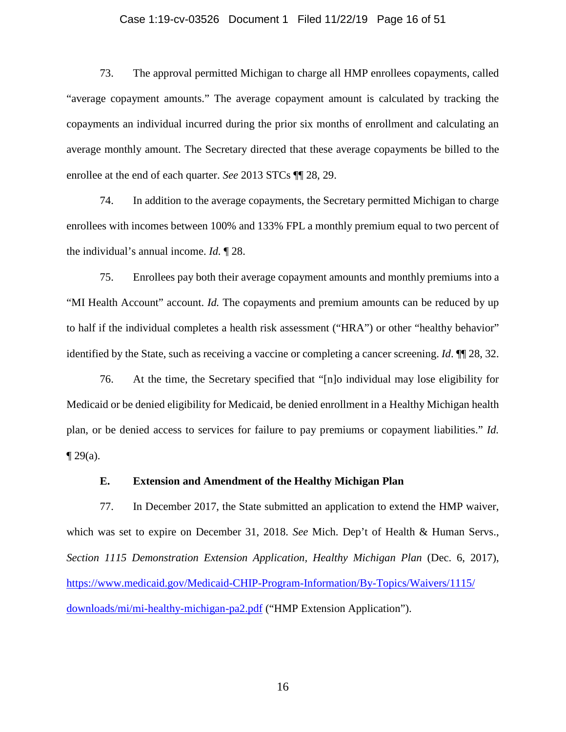# Case 1:19-cv-03526 Document 1 Filed 11/22/19 Page 16 of 51

73. The approval permitted Michigan to charge all HMP enrollees copayments, called "average copayment amounts." The average copayment amount is calculated by tracking the copayments an individual incurred during the prior six months of enrollment and calculating an average monthly amount. The Secretary directed that these average copayments be billed to the enrollee at the end of each quarter. *See* 2013 STCs ¶¶ 28, 29.

74. In addition to the average copayments, the Secretary permitted Michigan to charge enrollees with incomes between 100% and 133% FPL a monthly premium equal to two percent of the individual's annual income. *Id.* ¶ 28.

75. Enrollees pay both their average copayment amounts and monthly premiums into a "MI Health Account" account. *Id.* The copayments and premium amounts can be reduced by up to half if the individual completes a health risk assessment ("HRA") or other "healthy behavior" identified by the State, such as receiving a vaccine or completing a cancer screening. *Id*. ¶¶ 28, 32.

76. At the time, the Secretary specified that "[n]o individual may lose eligibility for Medicaid or be denied eligibility for Medicaid, be denied enrollment in a Healthy Michigan health plan, or be denied access to services for failure to pay premiums or copayment liabilities." *Id.*  $\P$  29(a).

# **E. Extension and Amendment of the Healthy Michigan Plan**

77. In December 2017, the State submitted an application to extend the HMP waiver, which was set to expire on December 31, 2018. *See* Mich. Dep't of Health & Human Servs., *Section 1115 Demonstration Extension Application, Healthy Michigan Plan* (Dec. 6, 2017), [https://www.medicaid.gov/Medicaid-CHIP-Program-Information/By-Topics/Waivers/1115/](https://www.medicaid.gov/%E2%80%8CMedicaid-CHIP-Program-Information/By-Topics/Waivers/%E2%80%8C1115/%E2%80%8Cdownloads/%E2%80%8Cmi/mi-healthy-michigan-pa2.pdf) [downloads/mi/mi-healthy-michigan-pa2.pdf](https://www.medicaid.gov/%E2%80%8CMedicaid-CHIP-Program-Information/By-Topics/Waivers/%E2%80%8C1115/%E2%80%8Cdownloads/%E2%80%8Cmi/mi-healthy-michigan-pa2.pdf) ("HMP Extension Application").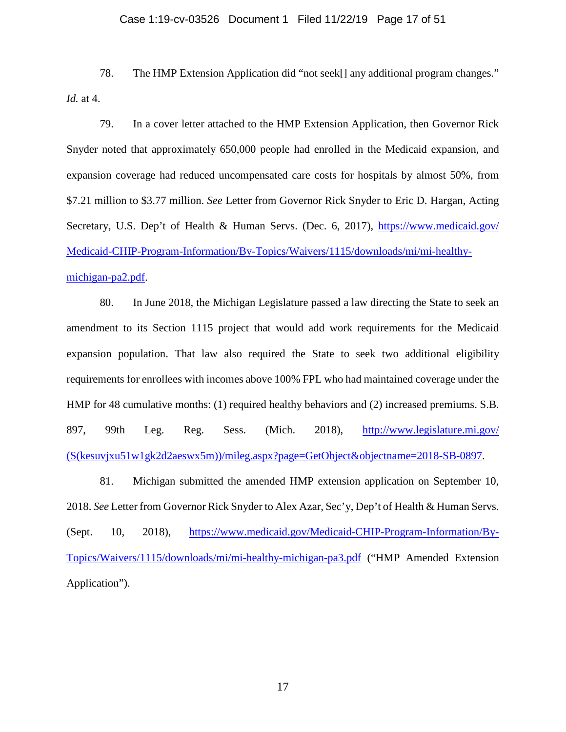#### Case 1:19-cv-03526 Document 1 Filed 11/22/19 Page 17 of 51

78. The HMP Extension Application did "not seek[] any additional program changes." *Id.* at 4.

79. In a cover letter attached to the HMP Extension Application, then Governor Rick Snyder noted that approximately 650,000 people had enrolled in the Medicaid expansion, and expansion coverage had reduced uncompensated care costs for hospitals by almost 50%, from \$7.21 million to \$3.77 million. *See* Letter from Governor Rick Snyder to Eric D. Hargan, Acting Secretary, U.S. Dep't of Health & Human Servs. (Dec. 6, 2017), [https://www.medicaid.gov/](https://www.medicaid.gov/%E2%80%8CMedicaid-CHIP-Program-Information/By-Topics/Waivers/1115/%E2%80%8Cdownloads/mi/mi-healthy-michigan-pa2.pdf) [Medicaid-CHIP-Program-Information/By-Topics/Waivers/1115/downloads/mi/mi-healthy](https://www.medicaid.gov/%E2%80%8CMedicaid-CHIP-Program-Information/By-Topics/Waivers/1115/%E2%80%8Cdownloads/mi/mi-healthy-michigan-pa2.pdf)[michigan-pa2.pdf.](https://www.medicaid.gov/%E2%80%8CMedicaid-CHIP-Program-Information/By-Topics/Waivers/1115/%E2%80%8Cdownloads/mi/mi-healthy-michigan-pa2.pdf)

80. In June 2018, the Michigan Legislature passed a law directing the State to seek an amendment to its Section 1115 project that would add work requirements for the Medicaid expansion population. That law also required the State to seek two additional eligibility requirements for enrollees with incomes above 100% FPL who had maintained coverage under the HMP for 48 cumulative months: (1) required healthy behaviors and (2) increased premiums. S.B. 897, 99th Leg. Reg. Sess. (Mich. 2018), [http://www.legislature.mi.gov/](http://www.legislature.mi.gov/%E2%80%8C(S(kesuvjxu51w1gk2d2aeswx5m))/%E2%80%8Cmileg.aspx?page=GetObject&objectname=2018-SB-0897) [\(S\(kesuvjxu51w1gk2d2aeswx5m\)\)/mileg.aspx?page=GetObject&objectname=2018-SB-0897.](http://www.legislature.mi.gov/%E2%80%8C(S(kesuvjxu51w1gk2d2aeswx5m))/%E2%80%8Cmileg.aspx?page=GetObject&objectname=2018-SB-0897)

81. Michigan submitted the amended HMP extension application on September 10, 2018. *See* Letter from Governor Rick Snyder to Alex Azar, Sec'y, Dep't of Health & Human Servs. (Sept. 10, 2018), [https://www.medicaid.gov/Medicaid-CHIP-Program-Information/By-](https://www.medicaid.gov/Medicaid-CHIP-Program-Information/By-Topics/Waivers%E2%80%8C/1115/downloads/mi/mi-healthy-michigan-pa3.pdf)[Topics/Waivers/1115/downloads/mi/mi-healthy-michigan-pa3.pdf](https://www.medicaid.gov/Medicaid-CHIP-Program-Information/By-Topics/Waivers%E2%80%8C/1115/downloads/mi/mi-healthy-michigan-pa3.pdf) ("HMP Amended Extension Application").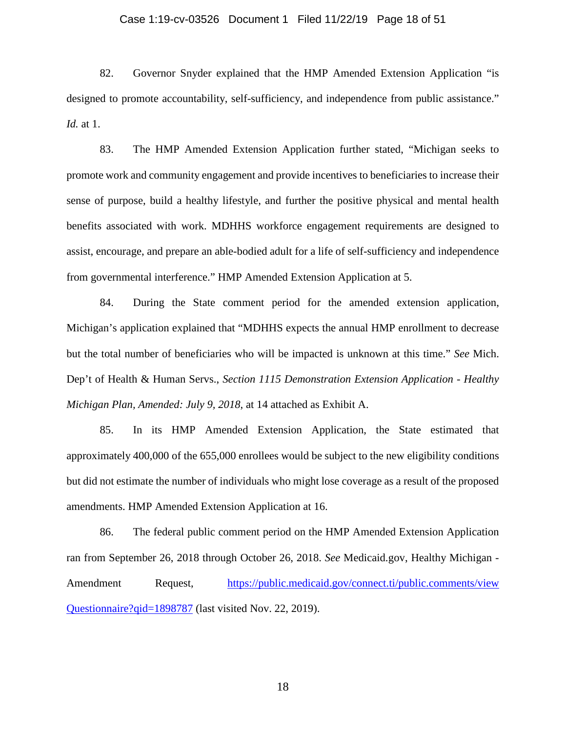# Case 1:19-cv-03526 Document 1 Filed 11/22/19 Page 18 of 51

82. Governor Snyder explained that the HMP Amended Extension Application "is designed to promote accountability, self-sufficiency, and independence from public assistance." *Id.* at 1.

83. The HMP Amended Extension Application further stated, "Michigan seeks to promote work and community engagement and provide incentives to beneficiaries to increase their sense of purpose, build a healthy lifestyle, and further the positive physical and mental health benefits associated with work. MDHHS workforce engagement requirements are designed to assist, encourage, and prepare an able-bodied adult for a life of self-sufficiency and independence from governmental interference." HMP Amended Extension Application at 5.

84. During the State comment period for the amended extension application, Michigan's application explained that "MDHHS expects the annual HMP enrollment to decrease but the total number of beneficiaries who will be impacted is unknown at this time." *See* Mich. Dep't of Health & Human Servs., *Section 1115 Demonstration Extension Application - Healthy Michigan Plan, Amended: July 9, 2018*, at 14 attached as Exhibit A.

85. In its HMP Amended Extension Application, the State estimated that approximately 400,000 of the 655,000 enrollees would be subject to the new eligibility conditions but did not estimate the number of individuals who might lose coverage as a result of the proposed amendments. HMP Amended Extension Application at 16.

86. The federal public comment period on the HMP Amended Extension Application ran from September 26, 2018 through October 26, 2018. *See* Medicaid.gov, Healthy Michigan Amendment Request, [https://public.medicaid.gov/connect.ti/public.comments/view](https://public.medicaid.gov/%E2%80%8Cconnect.ti/public.comments/%E2%80%8Cview%E2%80%8CQuestionnaire?%E2%80%8C%E2%80%8Cqid=%E2%80%8C18987%E2%80%8C87) [Questionnaire?qid=1898787](https://public.medicaid.gov/%E2%80%8Cconnect.ti/public.comments/%E2%80%8Cview%E2%80%8CQuestionnaire?%E2%80%8C%E2%80%8Cqid=%E2%80%8C18987%E2%80%8C87) (last visited Nov. 22, 2019).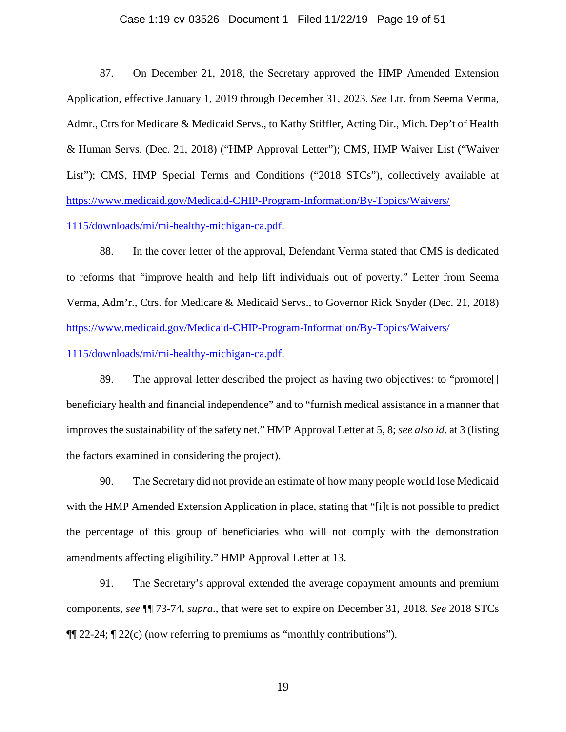# Case 1:19-cv-03526 Document 1 Filed 11/22/19 Page 19 of 51

87. On December 21, 2018, the Secretary approved the HMP Amended Extension Application, effective January 1, 2019 through December 31, 2023. *See* Ltr. from Seema Verma, Admr., Ctrs for Medicare & Medicaid Servs., to Kathy Stiffler, Acting Dir., Mich. Dep't of Health & Human Servs. (Dec. 21, 2018) ("HMP Approval Letter"); CMS, HMP Waiver List ("Waiver List"); CMS, HMP Special Terms and Conditions ("2018 STCs"), collectively available at [https://www.medicaid.gov/Medicaid-CHIP-Program-Information/By-Topics/Waivers/](https://www.medicaid.gov/%E2%80%8CMedicaid-CHIP-Program-Information/By-Topics/%E2%80%8CWaivers/%E2%80%8C1115/downloads/mi/mi-healthy-michigan-ca.pdf)

[1115/downloads/mi/mi-healthy-michigan-ca.pdf.](https://www.medicaid.gov/%E2%80%8CMedicaid-CHIP-Program-Information/By-Topics/%E2%80%8CWaivers/%E2%80%8C1115/downloads/mi/mi-healthy-michigan-ca.pdf)

88. In the cover letter of the approval, Defendant Verma stated that CMS is dedicated to reforms that "improve health and help lift individuals out of poverty." Letter from Seema Verma, Adm'r., Ctrs. for Medicare & Medicaid Servs., to Governor Rick Snyder (Dec. 21, 2018) [https://www.medicaid.gov/Medicaid-CHIP-Program-Information/By-Topics/Waivers/](https://www.medicaid.gov/Medicaid-CHIP-Program-Information/By-Topics/%E2%80%8CWaivers/%E2%80%8C%E2%80%8C1115/downloads/mi/mi-healthy-michigan-ca.pdf)

[1115/downloads/mi/mi-healthy-michigan-ca.pdf.](https://www.medicaid.gov/Medicaid-CHIP-Program-Information/By-Topics/%E2%80%8CWaivers/%E2%80%8C%E2%80%8C1115/downloads/mi/mi-healthy-michigan-ca.pdf)

89. The approval letter described the project as having two objectives: to "promote[] beneficiary health and financial independence" and to "furnish medical assistance in a manner that improves the sustainability of the safety net." HMP Approval Letter at 5, 8; *see also id*. at 3 (listing the factors examined in considering the project).

90. The Secretary did not provide an estimate of how many people would lose Medicaid with the HMP Amended Extension Application in place, stating that "[i]t is not possible to predict the percentage of this group of beneficiaries who will not comply with the demonstration amendments affecting eligibility." HMP Approval Letter at 13.

91. The Secretary's approval extended the average copayment amounts and premium components, *see* ¶¶ 73-74, *supra*., that were set to expire on December 31, 2018. *See* 2018 STCs ¶¶ 22-24; ¶ 22(c) (now referring to premiums as "monthly contributions").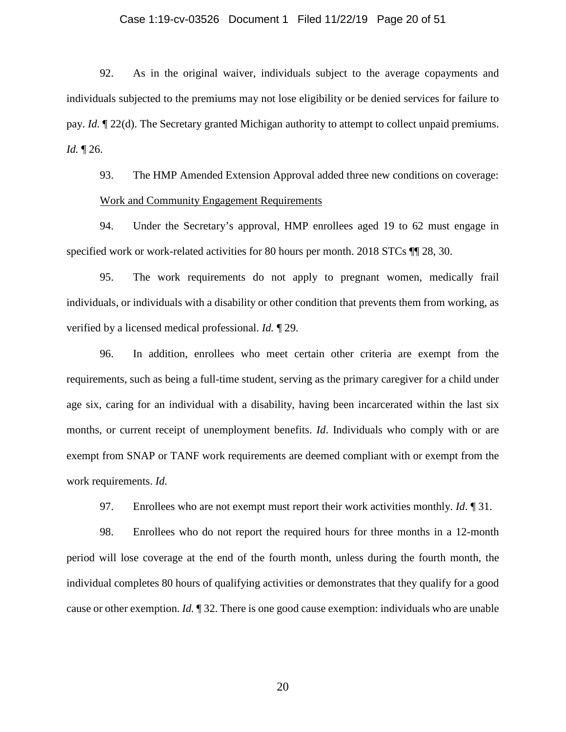# Case 1:19-cv-03526 Document 1 Filed 11/22/19 Page 20 of 51

92. As in the original waiver, individuals subject to the average copayments and individuals subjected to the premiums may not lose eligibility or be denied services for failure to pay. *Id.* ¶ 22(d). The Secretary granted Michigan authority to attempt to collect unpaid premiums. *Id.* ¶ 26.

93. The HMP Amended Extension Approval added three new conditions on coverage: Work and Community Engagement Requirements

94. Under the Secretary's approval, HMP enrollees aged 19 to 62 must engage in specified work or work-related activities for 80 hours per month. 2018 STCs  $\P$  [28, 30.

95. The work requirements do not apply to pregnant women, medically frail individuals, or individuals with a disability or other condition that prevents them from working, as verified by a licensed medical professional. *Id.* ¶ 29.

96. In addition, enrollees who meet certain other criteria are exempt from the requirements, such as being a full-time student, serving as the primary caregiver for a child under age six, caring for an individual with a disability, having been incarcerated within the last six months, or current receipt of unemployment benefits. *Id*. Individuals who comply with or are exempt from SNAP or TANF work requirements are deemed compliant with or exempt from the work requirements. *Id.*

97. Enrollees who are not exempt must report their work activities monthly. *Id*. ¶ 31.

98. Enrollees who do not report the required hours for three months in a 12-month period will lose coverage at the end of the fourth month, unless during the fourth month, the individual completes 80 hours of qualifying activities or demonstrates that they qualify for a good cause or other exemption. *Id.* ¶ 32. There is one good cause exemption: individuals who are unable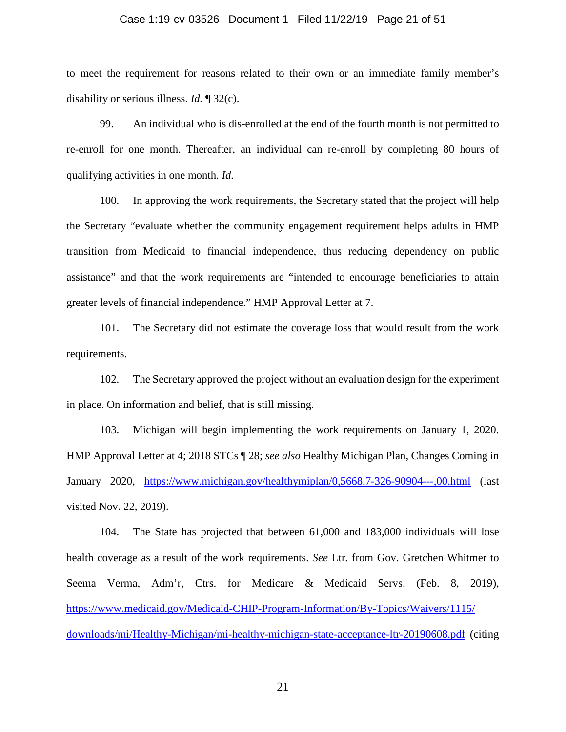# Case 1:19-cv-03526 Document 1 Filed 11/22/19 Page 21 of 51

to meet the requirement for reasons related to their own or an immediate family member's disability or serious illness. *Id.* ¶ 32(c).

99. An individual who is dis-enrolled at the end of the fourth month is not permitted to re-enroll for one month. Thereafter, an individual can re-enroll by completing 80 hours of qualifying activities in one month. *Id*.

100. In approving the work requirements, the Secretary stated that the project will help the Secretary "evaluate whether the community engagement requirement helps adults in HMP transition from Medicaid to financial independence, thus reducing dependency on public assistance" and that the work requirements are "intended to encourage beneficiaries to attain greater levels of financial independence." HMP Approval Letter at 7.

101. The Secretary did not estimate the coverage loss that would result from the work requirements.

102. The Secretary approved the project without an evaluation design for the experiment in place. On information and belief, that is still missing.

103. Michigan will begin implementing the work requirements on January 1, 2020. HMP Approval Letter at 4; 2018 STCs ¶ 28; *see also* Healthy Michigan Plan, Changes Coming in January 2020, <https://www.michigan.gov/healthymiplan/0,5668,7-326-90904---,00.html> (last visited Nov. 22, 2019).

104. The State has projected that between 61,000 and 183,000 individuals will lose health coverage as a result of the work requirements. *See* Ltr. from Gov. Gretchen Whitmer to Seema Verma, Adm'r, Ctrs. for Medicare & Medicaid Servs. (Feb. 8, 2019), [https://www.medicaid.gov/Medicaid-CHIP-Program-Information/By-Topics/Waivers/1115/](https://www.medicaid.gov/Medicaid-CHIP-Program-Information/By-Topics/%E2%80%8CWaivers/%E2%80%8C1115/%E2%80%8Cdownloads/mi/Healthy-Michigan/mi-healthy-michigan-state-acceptance-ltr-20190608.pdf) [downloads/mi/Healthy-Michigan/mi-healthy-michigan-state-acceptance-ltr-20190608.pdf](https://www.medicaid.gov/Medicaid-CHIP-Program-Information/By-Topics/%E2%80%8CWaivers/%E2%80%8C1115/%E2%80%8Cdownloads/mi/Healthy-Michigan/mi-healthy-michigan-state-acceptance-ltr-20190608.pdf) (citing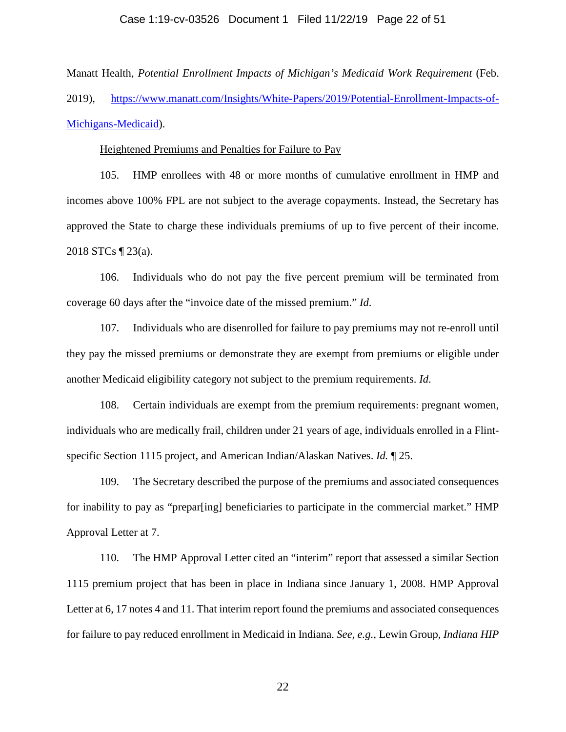Manatt Health, *Potential Enrollment Impacts of Michigan's Medicaid Work Requirement* (Feb. 2019), [https://www.manatt.com/Insights/White-Papers/2019/Potential-Enrollment-Impacts-of-](https://www.manatt.com/Insights/White-Papers/2019/Potential-Enrollment-Impacts-of-Michigans-Medicaid)[Michigans-Medicaid\)](https://www.manatt.com/Insights/White-Papers/2019/Potential-Enrollment-Impacts-of-Michigans-Medicaid).

#### Heightened Premiums and Penalties for Failure to Pay

105. HMP enrollees with 48 or more months of cumulative enrollment in HMP and incomes above 100% FPL are not subject to the average copayments. Instead, the Secretary has approved the State to charge these individuals premiums of up to five percent of their income. 2018 STCs ¶ 23(a).

106. Individuals who do not pay the five percent premium will be terminated from coverage 60 days after the "invoice date of the missed premium." *Id*.

107. Individuals who are disenrolled for failure to pay premiums may not re-enroll until they pay the missed premiums or demonstrate they are exempt from premiums or eligible under another Medicaid eligibility category not subject to the premium requirements. *Id*.

108. Certain individuals are exempt from the premium requirements: pregnant women, individuals who are medically frail, children under 21 years of age, individuals enrolled in a Flintspecific Section 1115 project, and American Indian/Alaskan Natives. *Id.* ¶ 25.

109. The Secretary described the purpose of the premiums and associated consequences for inability to pay as "prepar[ing] beneficiaries to participate in the commercial market." HMP Approval Letter at 7.

110. The HMP Approval Letter cited an "interim" report that assessed a similar Section 1115 premium project that has been in place in Indiana since January 1, 2008. HMP Approval Letter at 6, 17 notes 4 and 11. That interim report found the premiums and associated consequences for failure to pay reduced enrollment in Medicaid in Indiana. *See, e.g.*, Lewin Group, *Indiana HIP*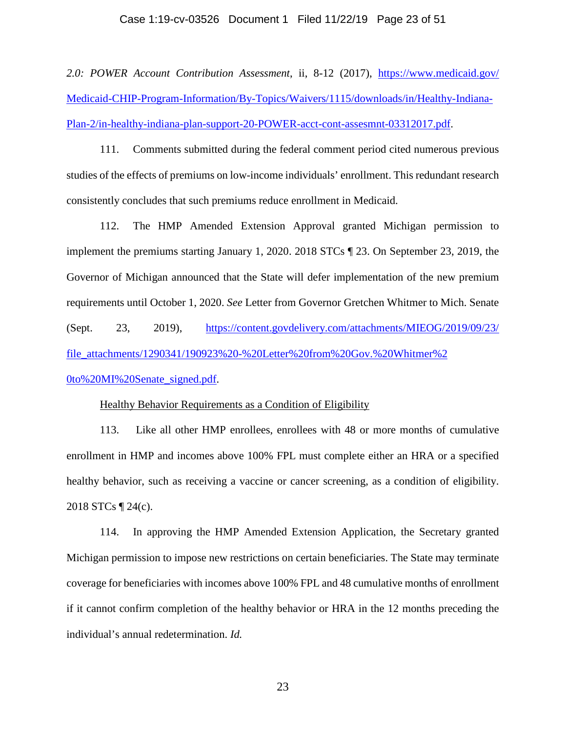# Case 1:19-cv-03526 Document 1 Filed 11/22/19 Page 23 of 51

*2.0: POWER Account Contribution Assessment*, ii, 8-12 (2017), [https://www.medicaid.gov/](https://www.medicaid.gov/%E2%80%8CMedicaid-CHIP-Program-Information/By-Topics/Waivers/%E2%80%8C1115/%E2%80%8Cdownloads/%E2%80%8Cin/Healthy-Indiana-Plan-2/in-healthy-indiana-plan-support-20-POWER-acct-cont-assesmnt-03312017.pdf) [Medicaid-CHIP-Program-Information/By-Topics/Waivers/1115/downloads/in/Healthy-Indiana-](https://www.medicaid.gov/%E2%80%8CMedicaid-CHIP-Program-Information/By-Topics/Waivers/%E2%80%8C1115/%E2%80%8Cdownloads/%E2%80%8Cin/Healthy-Indiana-Plan-2/in-healthy-indiana-plan-support-20-POWER-acct-cont-assesmnt-03312017.pdf)[Plan-2/in-healthy-indiana-plan-support-20-POWER-acct-cont-assesmnt-03312017.pdf.](https://www.medicaid.gov/%E2%80%8CMedicaid-CHIP-Program-Information/By-Topics/Waivers/%E2%80%8C1115/%E2%80%8Cdownloads/%E2%80%8Cin/Healthy-Indiana-Plan-2/in-healthy-indiana-plan-support-20-POWER-acct-cont-assesmnt-03312017.pdf)

111. Comments submitted during the federal comment period cited numerous previous studies of the effects of premiums on low-income individuals' enrollment. This redundant research consistently concludes that such premiums reduce enrollment in Medicaid.

112. The HMP Amended Extension Approval granted Michigan permission to implement the premiums starting January 1, 2020. 2018 STCs ¶ 23. On September 23, 2019, the Governor of Michigan announced that the State will defer implementation of the new premium requirements until October 1, 2020. *See* Letter from Governor Gretchen Whitmer to Mich. Senate (Sept. 23, 2019), [https://content.govdelivery.com/attachments/MIEOG/2019/09/23/](https://content.govdelivery.com/%E2%80%8Cattachments/%E2%80%8C%E2%80%8CMIEOG/2019/09/23/%E2%80%8Cfile_attachments/1290341/%E2%80%8C190923%20-%20Letter%25%E2%80%8C20from%25%E2%80%8C20Gov.%25%E2%80%8C%E2%80%8C20Whitmer%252%E2%80%8C0to%20MI%20Senate_signed.pdf) [file\\_attachments/1290341/190923%20-%20Letter%20from%20Gov.%20Whitmer%2](https://content.govdelivery.com/%E2%80%8Cattachments/%E2%80%8C%E2%80%8CMIEOG/2019/09/23/%E2%80%8Cfile_attachments/1290341/%E2%80%8C190923%20-%20Letter%25%E2%80%8C20from%25%E2%80%8C20Gov.%25%E2%80%8C%E2%80%8C20Whitmer%252%E2%80%8C0to%20MI%20Senate_signed.pdf) [0to%20MI%20Senate\\_signed.pdf.](https://content.govdelivery.com/%E2%80%8Cattachments/%E2%80%8C%E2%80%8CMIEOG/2019/09/23/%E2%80%8Cfile_attachments/1290341/%E2%80%8C190923%20-%20Letter%25%E2%80%8C20from%25%E2%80%8C20Gov.%25%E2%80%8C%E2%80%8C20Whitmer%252%E2%80%8C0to%20MI%20Senate_signed.pdf)

# Healthy Behavior Requirements as a Condition of Eligibility

113. Like all other HMP enrollees, enrollees with 48 or more months of cumulative enrollment in HMP and incomes above 100% FPL must complete either an HRA or a specified healthy behavior, such as receiving a vaccine or cancer screening, as a condition of eligibility. 2018 STCs ¶ 24(c).

114. In approving the HMP Amended Extension Application, the Secretary granted Michigan permission to impose new restrictions on certain beneficiaries. The State may terminate coverage for beneficiaries with incomes above 100% FPL and 48 cumulative months of enrollment if it cannot confirm completion of the healthy behavior or HRA in the 12 months preceding the individual's annual redetermination. *Id.*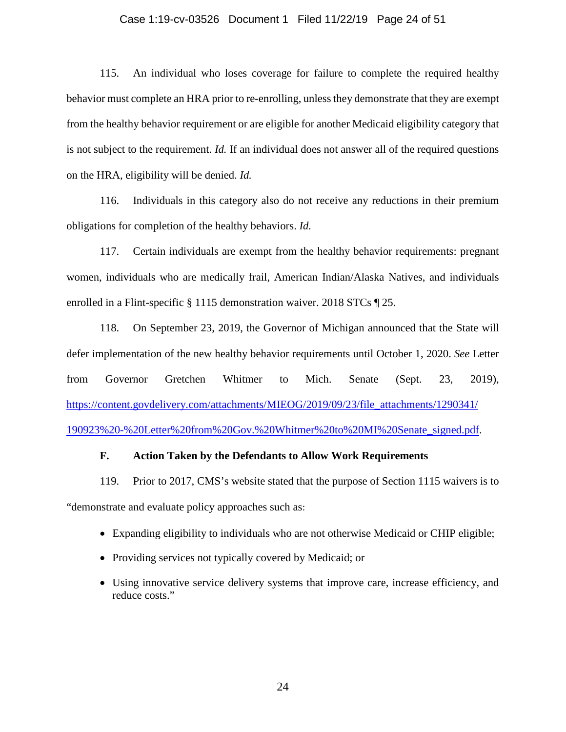# Case 1:19-cv-03526 Document 1 Filed 11/22/19 Page 24 of 51

115. An individual who loses coverage for failure to complete the required healthy behavior must complete an HRA prior to re-enrolling, unless they demonstrate that they are exempt from the healthy behavior requirement or are eligible for another Medicaid eligibility category that is not subject to the requirement. *Id.* If an individual does not answer all of the required questions on the HRA, eligibility will be denied. *Id.*

116. Individuals in this category also do not receive any reductions in their premium obligations for completion of the healthy behaviors. *Id.*

117. Certain individuals are exempt from the healthy behavior requirements: pregnant women, individuals who are medically frail, American Indian/Alaska Natives, and individuals enrolled in a Flint-specific § 1115 demonstration waiver. 2018 STCs ¶ 25.

118. On September 23, 2019, the Governor of Michigan announced that the State will defer implementation of the new healthy behavior requirements until October 1, 2020. *See* Letter from Governor Gretchen Whitmer to Mich. Senate (Sept. 23, 2019), [https://content.govdelivery.com/attachments/MIEOG/2019/09/23/file\\_attachments/1290341/](https://content.govdelivery.com/%E2%80%8Cattachments/%E2%80%8CMIEOG/2019/09/23/file_attachments/%E2%80%8C1290341/%E2%80%8C190923%25%E2%80%8C20-%20Letter%25%E2%80%8C%E2%80%8C20from%25%E2%80%8C20Gov.%25%E2%80%8C20Whitmer%252%E2%80%8C0to%20MI%20Senate_signed.pdf) [190923%20-%20Letter%20from%20Gov.%20Whitmer%20to%20MI%20Senate\\_signed.pdf.](https://content.govdelivery.com/%E2%80%8Cattachments/%E2%80%8CMIEOG/2019/09/23/file_attachments/%E2%80%8C1290341/%E2%80%8C190923%25%E2%80%8C20-%20Letter%25%E2%80%8C%E2%80%8C20from%25%E2%80%8C20Gov.%25%E2%80%8C20Whitmer%252%E2%80%8C0to%20MI%20Senate_signed.pdf)

# **F. Action Taken by the Defendants to Allow Work Requirements**

119. Prior to 2017, CMS's website stated that the purpose of Section 1115 waivers is to "demonstrate and evaluate policy approaches such as:

- Expanding eligibility to individuals who are not otherwise Medicaid or CHIP eligible;
- Providing services not typically covered by Medicaid; or
- Using innovative service delivery systems that improve care, increase efficiency, and reduce costs."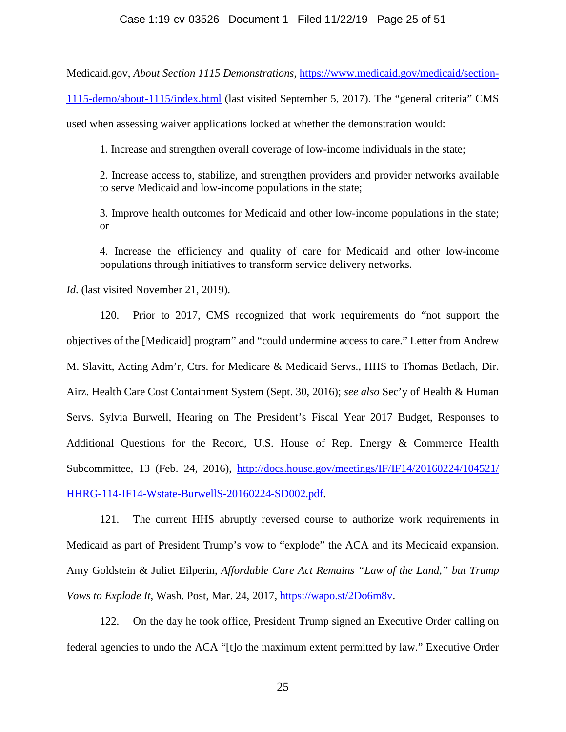# Case 1:19-cv-03526 Document 1 Filed 11/22/19 Page 25 of 51

Medicaid.gov, *About Section 1115 Demonstrations*, [https://www.medicaid.gov/medicaid/section-](https://www.medicaid.gov/medicaid/section-1115-demo/about-1115/index.html)

[1115-demo/about-1115/index.html](https://www.medicaid.gov/medicaid/section-1115-demo/about-1115/index.html) (last visited September 5, 2017). The "general criteria" CMS

used when assessing waiver applications looked at whether the demonstration would:

1. Increase and strengthen overall coverage of low-income individuals in the state;

2. Increase access to, stabilize, and strengthen providers and provider networks available to serve Medicaid and low-income populations in the state;

3. Improve health outcomes for Medicaid and other low-income populations in the state; or

4. Increase the efficiency and quality of care for Medicaid and other low-income populations through initiatives to transform service delivery networks.

*Id*. (last visited November 21, 2019).

120. Prior to 2017, CMS recognized that work requirements do "not support the objectives of the [Medicaid] program" and "could undermine access to care." Letter from Andrew M. Slavitt, Acting Adm'r, Ctrs. for Medicare & Medicaid Servs., HHS to Thomas Betlach, Dir. Airz. Health Care Cost Containment System (Sept. 30, 2016); *see also* Sec'y of Health & Human Servs. Sylvia Burwell, Hearing on The President's Fiscal Year 2017 Budget, Responses to Additional Questions for the Record, U.S. House of Rep. Energy & Commerce Health Subcommittee, 13 (Feb. 24, 2016), [http://docs.house.gov/meetings/IF/IF14/20160224/104521/](http://docs.house.gov/meetings/IF/IF14/20160224/104521/%E2%80%8CHHRG-114-IF14-Wstate-BurwellS-20160224-SD002.pdf) [HHRG-114-IF14-Wstate-BurwellS-20160224-SD002.pdf.](http://docs.house.gov/meetings/IF/IF14/20160224/104521/%E2%80%8CHHRG-114-IF14-Wstate-BurwellS-20160224-SD002.pdf)

121. The current HHS abruptly reversed course to authorize work requirements in Medicaid as part of President Trump's vow to "explode" the ACA and its Medicaid expansion. Amy Goldstein & Juliet Eilperin, *Affordable Care Act Remains "Law of the Land," but Trump Vows to Explode It*, Wash. Post, Mar. 24, 2017, [https://wapo.st/2Do6m8v.](https://wapo.st/2Do6m8v)

122. On the day he took office, President Trump signed an Executive Order calling on federal agencies to undo the ACA "[t]o the maximum extent permitted by law." Executive Order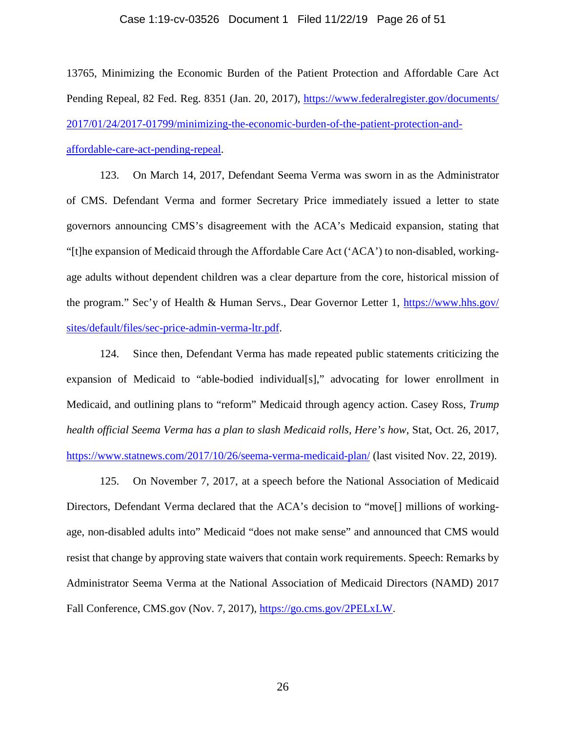#### Case 1:19-cv-03526 Document 1 Filed 11/22/19 Page 26 of 51

13765, Minimizing the Economic Burden of the Patient Protection and Affordable Care Act Pending Repeal, 82 Fed. Reg. 8351 (Jan. 20, 2017), [https://www.federalregister.gov/documents/](https://www.federalregister.gov/documents/2017/01/24/2017-01799/minimizing-the-economic-burden-of-the-patient-protection-and-affordable-care-act-pending-repeal) [2017/01/24/2017-01799/minimizing-the-economic-burden-of-the-patient-protection-and](https://www.federalregister.gov/documents/2017/01/24/2017-01799/minimizing-the-economic-burden-of-the-patient-protection-and-affordable-care-act-pending-repeal)[affordable-care-act-pending-repeal.](https://www.federalregister.gov/documents/2017/01/24/2017-01799/minimizing-the-economic-burden-of-the-patient-protection-and-affordable-care-act-pending-repeal)

123. On March 14, 2017, Defendant Seema Verma was sworn in as the Administrator of CMS. Defendant Verma and former Secretary Price immediately issued a letter to state governors announcing CMS's disagreement with the ACA's Medicaid expansion, stating that "[t]he expansion of Medicaid through the Affordable Care Act ('ACA') to non-disabled, workingage adults without dependent children was a clear departure from the core, historical mission of the program." Sec'y of Health & Human Servs., Dear Governor Letter 1, [https://www.hhs.gov/](https://www.hhs.gov/sites/default/files/sec-price-admin-verma-ltr.pdf) [sites/default/files/sec-price-admin-verma-ltr.pdf.](https://www.hhs.gov/sites/default/files/sec-price-admin-verma-ltr.pdf)

124. Since then, Defendant Verma has made repeated public statements criticizing the expansion of Medicaid to "able-bodied individual[s]," advocating for lower enrollment in Medicaid, and outlining plans to "reform" Medicaid through agency action. Casey Ross, *Trump health official Seema Verma has a plan to slash Medicaid rolls, Here's how*, Stat, Oct. 26, 2017, <https://www.statnews.com/2017/10/26/seema-verma-medicaid-plan/> (last visited Nov. 22, 2019).

125. On November 7, 2017, at a speech before the National Association of Medicaid Directors, Defendant Verma declared that the ACA's decision to "move[] millions of workingage, non-disabled adults into" Medicaid "does not make sense" and announced that CMS would resist that change by approving state waivers that contain work requirements. Speech: Remarks by Administrator Seema Verma at the National Association of Medicaid Directors (NAMD) 2017 Fall Conference, CMS.gov (Nov. 7, 2017), [https://go.cms.gov/2PELxLW.](https://go.cms.gov/2PELxLW)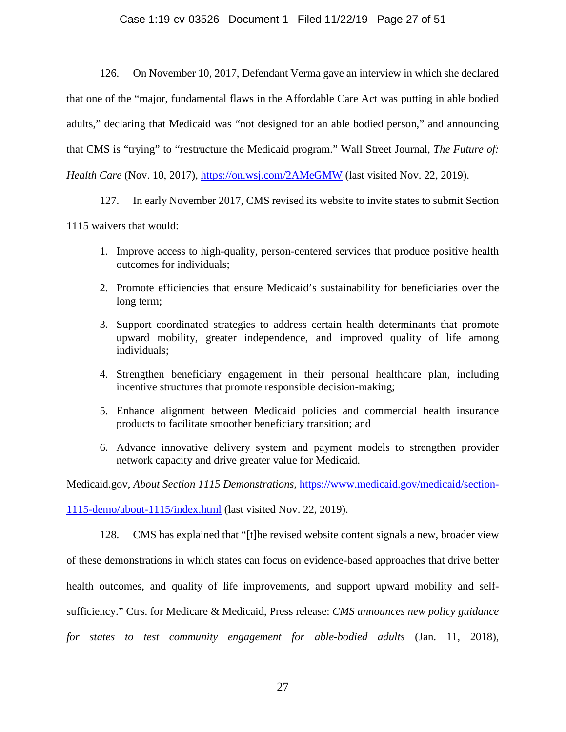# Case 1:19-cv-03526 Document 1 Filed 11/22/19 Page 27 of 51

126. On November 10, 2017, Defendant Verma gave an interview in which she declared that one of the "major, fundamental flaws in the Affordable Care Act was putting in able bodied adults," declaring that Medicaid was "not designed for an able bodied person," and announcing that CMS is "trying" to "restructure the Medicaid program." Wall Street Journal, *The Future of: Health Care* (Nov. 10, 2017),<https://on.wsj.com/2AMeGMW> (last visited Nov. 22, 2019).

127. In early November 2017, CMS revised its website to invite states to submit Section

1115 waivers that would:

- 1. Improve access to high-quality, person-centered services that produce positive health outcomes for individuals;
- 2. Promote efficiencies that ensure Medicaid's sustainability for beneficiaries over the long term;
- 3. Support coordinated strategies to address certain health determinants that promote upward mobility, greater independence, and improved quality of life among individuals;
- 4. Strengthen beneficiary engagement in their personal healthcare plan, including incentive structures that promote responsible decision-making;
- 5. Enhance alignment between Medicaid policies and commercial health insurance products to facilitate smoother beneficiary transition; and
- 6. Advance innovative delivery system and payment models to strengthen provider network capacity and drive greater value for Medicaid.

Medicaid.gov, *About Section 1115 Demonstrations*, [https://www.medicaid.gov/medicaid/section-](https://www.medicaid.gov/medicaid/section-1115-demo/about-1115/index.html)

[1115-demo/about-1115/index.html](https://www.medicaid.gov/medicaid/section-1115-demo/about-1115/index.html) (last visited Nov. 22, 2019).

128. CMS has explained that "[t]he revised website content signals a new, broader view of these demonstrations in which states can focus on evidence-based approaches that drive better health outcomes, and quality of life improvements, and support upward mobility and selfsufficiency." Ctrs. for Medicare & Medicaid, Press release: *CMS announces new policy guidance for states to test community engagement for able-bodied adults* (Jan. 11, 2018),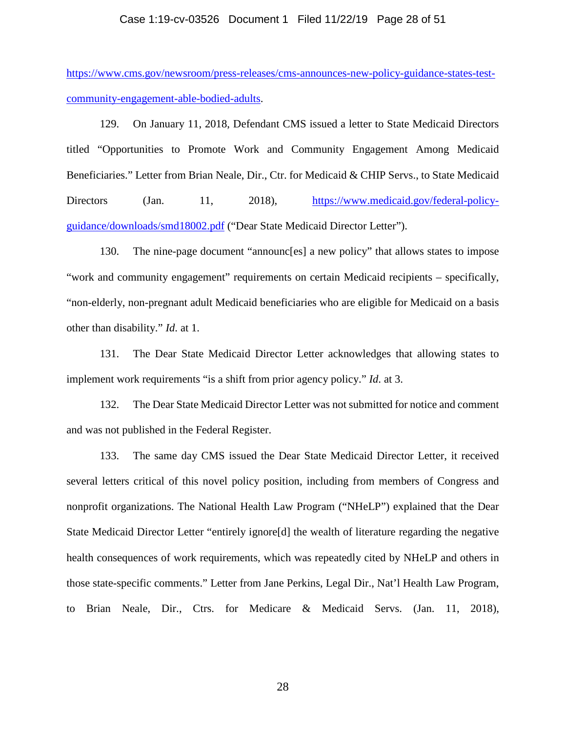# Case 1:19-cv-03526 Document 1 Filed 11/22/19 Page 28 of 51

[https://www.cms.gov/newsroom/press-releases/cms-announces-new-policy-guidance-states-test](https://www.cms.gov/%E2%80%8Cnewsroom/%E2%80%8Cpress-releases/%E2%80%8Ccms-announces-new-policy-guidance-states-test-community-engagement-able-bodied-adults)[community-engagement-able-bodied-adults.](https://www.cms.gov/%E2%80%8Cnewsroom/%E2%80%8Cpress-releases/%E2%80%8Ccms-announces-new-policy-guidance-states-test-community-engagement-able-bodied-adults)

129. On January 11, 2018, Defendant CMS issued a letter to State Medicaid Directors titled "Opportunities to Promote Work and Community Engagement Among Medicaid Beneficiaries." Letter from Brian Neale, Dir., Ctr. for Medicaid & CHIP Servs., to State Medicaid Directors (Jan. 11, 2018), [https://www.medicaid.gov/federal-policy](https://www.medicaid.gov/federal-policy-guidance/downloads/smd18002.pdf)[guidance/downloads/smd18002.pdf](https://www.medicaid.gov/federal-policy-guidance/downloads/smd18002.pdf) ("Dear State Medicaid Director Letter").

130. The nine-page document "announc[es] a new policy" that allows states to impose "work and community engagement" requirements on certain Medicaid recipients – specifically, "non-elderly, non-pregnant adult Medicaid beneficiaries who are eligible for Medicaid on a basis other than disability." *Id*. at 1.

131. The Dear State Medicaid Director Letter acknowledges that allowing states to implement work requirements "is a shift from prior agency policy." *Id*. at 3.

132. The Dear State Medicaid Director Letter was not submitted for notice and comment and was not published in the Federal Register.

133. The same day CMS issued the Dear State Medicaid Director Letter, it received several letters critical of this novel policy position, including from members of Congress and nonprofit organizations. The National Health Law Program ("NHeLP") explained that the Dear State Medicaid Director Letter "entirely ignore[d] the wealth of literature regarding the negative health consequences of work requirements, which was repeatedly cited by NHeLP and others in those state-specific comments." Letter from Jane Perkins, Legal Dir., Nat'l Health Law Program, to Brian Neale, Dir., Ctrs. for Medicare & Medicaid Servs. (Jan. 11, 2018),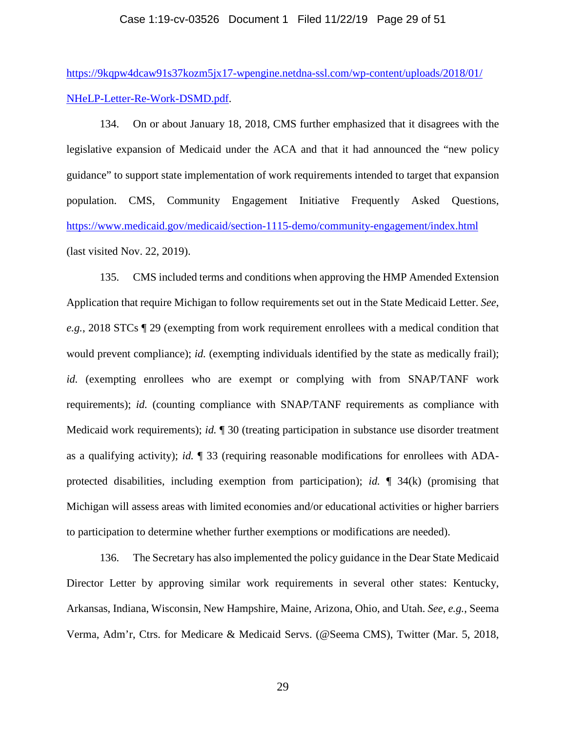#### Case 1:19-cv-03526 Document 1 Filed 11/22/19 Page 29 of 51

[https://9kqpw4dcaw91s37kozm5jx17-wpengine.netdna-ssl.com/wp-content/uploads/2018/01/](https://9kqpw4dcaw91s37kozm5jx17-wpengine.netdna-ssl.com/wp-content/uploads/2018/01/NHeLP-Letter-Re-Work-DSMD.pdf) [NHeLP-Letter-Re-Work-DSMD.pdf.](https://9kqpw4dcaw91s37kozm5jx17-wpengine.netdna-ssl.com/wp-content/uploads/2018/01/NHeLP-Letter-Re-Work-DSMD.pdf)

134. On or about January 18, 2018, CMS further emphasized that it disagrees with the legislative expansion of Medicaid under the ACA and that it had announced the "new policy guidance" to support state implementation of work requirements intended to target that expansion population. CMS, Community Engagement Initiative Frequently Asked Questions, <https://www.medicaid.gov/medicaid/section-1115-demo/community-engagement/index.html> (last visited Nov. 22, 2019).

135. CMS included terms and conditions when approving the HMP Amended Extension Application that require Michigan to follow requirements set out in the State Medicaid Letter. *See*, *e.g.*, 2018 STCs ¶ 29 (exempting from work requirement enrollees with a medical condition that would prevent compliance); *id.* (exempting individuals identified by the state as medically frail); *id.* (exempting enrollees who are exempt or complying with from SNAP/TANF work requirements); *id.* (counting compliance with SNAP/TANF requirements as compliance with Medicaid work requirements); *id.* ¶ 30 (treating participation in substance use disorder treatment as a qualifying activity); *id.* ¶ 33 (requiring reasonable modifications for enrollees with ADAprotected disabilities, including exemption from participation); *id.* ¶ 34(k) (promising that Michigan will assess areas with limited economies and/or educational activities or higher barriers to participation to determine whether further exemptions or modifications are needed).

136. The Secretary has also implemented the policy guidance in the Dear State Medicaid Director Letter by approving similar work requirements in several other states: Kentucky, Arkansas, Indiana, Wisconsin, New Hampshire, Maine, Arizona, Ohio, and Utah. *See*, *e.g.*, Seema Verma, Adm'r, Ctrs. for Medicare & Medicaid Servs. (@Seema CMS), Twitter (Mar. 5, 2018,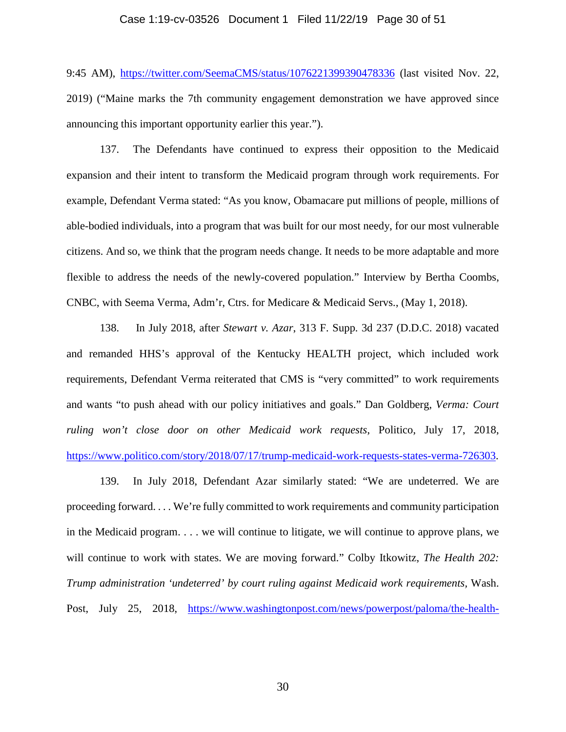# Case 1:19-cv-03526 Document 1 Filed 11/22/19 Page 30 of 51

9:45 AM), <https://twitter.com/SeemaCMS/status/1076221399390478336> (last visited Nov. 22, 2019) ("Maine marks the 7th community engagement demonstration we have approved since announcing this important opportunity earlier this year.").

137. The Defendants have continued to express their opposition to the Medicaid expansion and their intent to transform the Medicaid program through work requirements. For example, Defendant Verma stated: "As you know, Obamacare put millions of people, millions of able-bodied individuals, into a program that was built for our most needy, for our most vulnerable citizens. And so, we think that the program needs change. It needs to be more adaptable and more flexible to address the needs of the newly-covered population." Interview by Bertha Coombs, CNBC, with Seema Verma, Adm'r, Ctrs. for Medicare & Medicaid Servs., (May 1, 2018).

138. In July 2018, after *Stewart v. Azar*, 313 F. Supp. 3d 237 (D.D.C. 2018) vacated and remanded HHS's approval of the Kentucky HEALTH project, which included work requirements, Defendant Verma reiterated that CMS is "very committed" to work requirements and wants "to push ahead with our policy initiatives and goals." Dan Goldberg, *Verma: Court ruling won't close door on other Medicaid work requests*, Politico, July 17, 2018, [https://www.politico.com/story/2018/07/17/trump-medicaid-work-requests-states-verma-726303.](https://www.politico.com/story/2018/07/17/trump-medicaid-work-requests-states-verma-726303)

139. In July 2018, Defendant Azar similarly stated: "We are undeterred. We are proceeding forward. . . . We're fully committed to work requirements and community participation in the Medicaid program. . . . we will continue to litigate, we will continue to approve plans, we will continue to work with states. We are moving forward." Colby Itkowitz, *The Health 202: Trump administration 'undeterred' by court ruling against Medicaid work requirements,* Wash. Post, July 25, 2018, [https://www.washingtonpost.com/news/powerpost/paloma/the-health-](https://www.washingtonpost.com/news/powerpost/paloma/the-health-202/2018/07/27/the-health-202-trump-administration-undeterred-by-court-ruling-against-medicaid-work-requirements/5b5a10bb1b326b1e64695577/?utm_term=.7ba76e8a0719)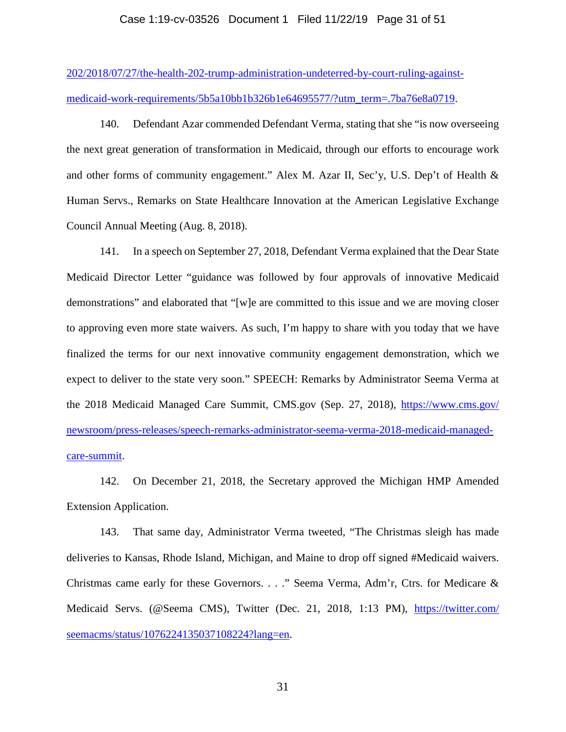# Case 1:19-cv-03526 Document 1 Filed 11/22/19 Page 31 of 51

[202/2018/07/27/the-health-202-trump-administration-undeterred-by-court-ruling-against](https://www.washingtonpost.com/news/powerpost/paloma/the-health-202/2018/07/27/the-health-202-trump-administration-undeterred-by-court-ruling-against-medicaid-work-requirements/5b5a10bb1b326b1e64695577/?utm_term=.7ba76e8a0719)[medicaid-work-requirements/5b5a10bb1b326b1e64695577/?utm\\_term=.7ba76e8a0719.](https://www.washingtonpost.com/news/powerpost/paloma/the-health-202/2018/07/27/the-health-202-trump-administration-undeterred-by-court-ruling-against-medicaid-work-requirements/5b5a10bb1b326b1e64695577/?utm_term=.7ba76e8a0719)

140. Defendant Azar commended Defendant Verma, stating that she "is now overseeing the next great generation of transformation in Medicaid, through our efforts to encourage work and other forms of community engagement." Alex M. Azar II, Sec'y, U.S. Dep't of Health & Human Servs., Remarks on State Healthcare Innovation at the American Legislative Exchange Council Annual Meeting (Aug. 8, 2018).

141. In a speech on September 27, 2018, Defendant Verma explained that the Dear State Medicaid Director Letter "guidance was followed by four approvals of innovative Medicaid demonstrations" and elaborated that "[w]e are committed to this issue and we are moving closer to approving even more state waivers. As such, I'm happy to share with you today that we have finalized the terms for our next innovative community engagement demonstration, which we expect to deliver to the state very soon." SPEECH: Remarks by Administrator Seema Verma at the 2018 Medicaid Managed Care Summit, CMS.gov (Sep. 27, 2018), [https://www.cms.gov/](https://www.cms.gov/newsroom/press-releases/speech-remarks-administrator-seema-verma-2018-medicaid-managed-care-summit) [newsroom/press-releases/speech-remarks-administrator-seema-verma-2018-medicaid-managed](https://www.cms.gov/newsroom/press-releases/speech-remarks-administrator-seema-verma-2018-medicaid-managed-care-summit)[care-summit.](https://www.cms.gov/newsroom/press-releases/speech-remarks-administrator-seema-verma-2018-medicaid-managed-care-summit)

142. On December 21, 2018, the Secretary approved the Michigan HMP Amended Extension Application.

143. That same day, Administrator Verma tweeted, "The Christmas sleigh has made deliveries to Kansas, Rhode Island, Michigan, and Maine to drop off signed #Medicaid waivers. Christmas came early for these Governors. . . ." Seema Verma, Adm'r, Ctrs. for Medicare & Medicaid Servs. (@Seema CMS), Twitter (Dec. 21, 2018, 1:13 PM), [https://twitter.com/](https://twitter.com/seemacms/status/1076224135037108224?lang=en) [seemacms/status/1076224135037108224?lang=en.](https://twitter.com/seemacms/status/1076224135037108224?lang=en)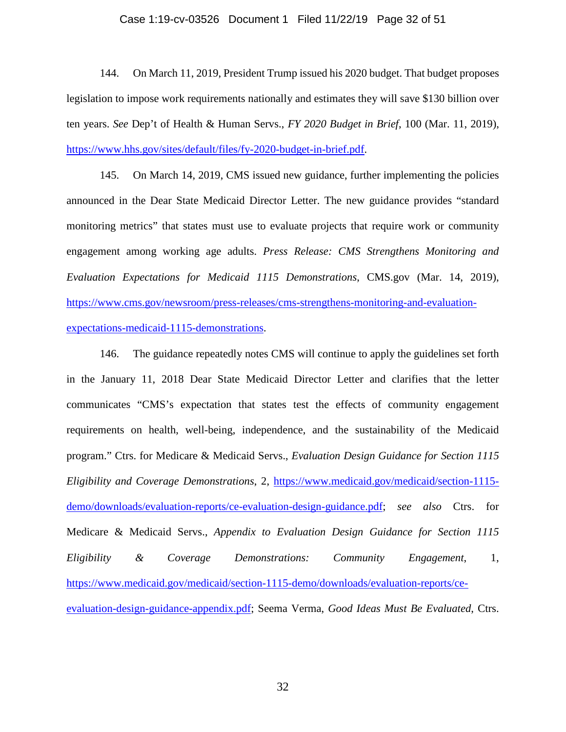# Case 1:19-cv-03526 Document 1 Filed 11/22/19 Page 32 of 51

144. On March 11, 2019, President Trump issued his 2020 budget. That budget proposes legislation to impose work requirements nationally and estimates they will save \$130 billion over ten years. *See* Dep't of Health & Human Servs., *FY 2020 Budget in Brief*, 100 (Mar. 11, 2019), [https://www.hhs.gov/sites/default/files/fy-2020-budget-in-brief.pdf.](https://www.hhs.gov/sites/default/files/fy-2020-budget-in-brief.pdf)

145. On March 14, 2019, CMS issued new guidance, further implementing the policies announced in the Dear State Medicaid Director Letter. The new guidance provides "standard monitoring metrics" that states must use to evaluate projects that require work or community engagement among working age adults. *Press Release: CMS Strengthens Monitoring and Evaluation Expectations for Medicaid 1115 Demonstrations*, CMS.gov (Mar. 14, 2019), [https://www.cms.gov/newsroom/press-releases/cms-strengthens-monitoring-and-evaluation](https://www.cms.gov/newsroom/press-releases/cms-strengthens-monitoring-and-evaluation-expectations-medicaid-1115-demonstrations)[expectations-medicaid-1115-demonstrations.](https://www.cms.gov/newsroom/press-releases/cms-strengthens-monitoring-and-evaluation-expectations-medicaid-1115-demonstrations)

146. The guidance repeatedly notes CMS will continue to apply the guidelines set forth in the January 11, 2018 Dear State Medicaid Director Letter and clarifies that the letter communicates "CMS's expectation that states test the effects of community engagement requirements on health, well-being, independence, and the sustainability of the Medicaid program." Ctrs. for Medicare & Medicaid Servs., *Evaluation Design Guidance for Section 1115 Eligibility and Coverage Demonstrations*, 2, [https://www.medicaid.gov/medicaid/section-1115](https://www.medicaid.gov/medicaid/section-1115-demo/downloads/evaluation-reports/ce-evaluation-design-guidance.pdf) [demo/downloads/evaluation-reports/ce-evaluation-design-guidance.pdf;](https://www.medicaid.gov/medicaid/section-1115-demo/downloads/evaluation-reports/ce-evaluation-design-guidance.pdf) *see also* Ctrs. for Medicare & Medicaid Servs., *Appendix to Evaluation Design Guidance for Section 1115 Eligibility & Coverage Demonstrations: Community Engagement*, 1, [https://www.medicaid.gov/medicaid/section-1115-demo/downloads/evaluation-reports/ce](https://www.medicaid.gov/medicaid/section-1115-demo/downloads/evaluation-reports/ce-evaluation-design-guidance-appendix.pdf)[evaluation-design-guidance-appendix.pdf;](https://www.medicaid.gov/medicaid/section-1115-demo/downloads/evaluation-reports/ce-evaluation-design-guidance-appendix.pdf) Seema Verma, *Good Ideas Must Be Evaluated*, Ctrs.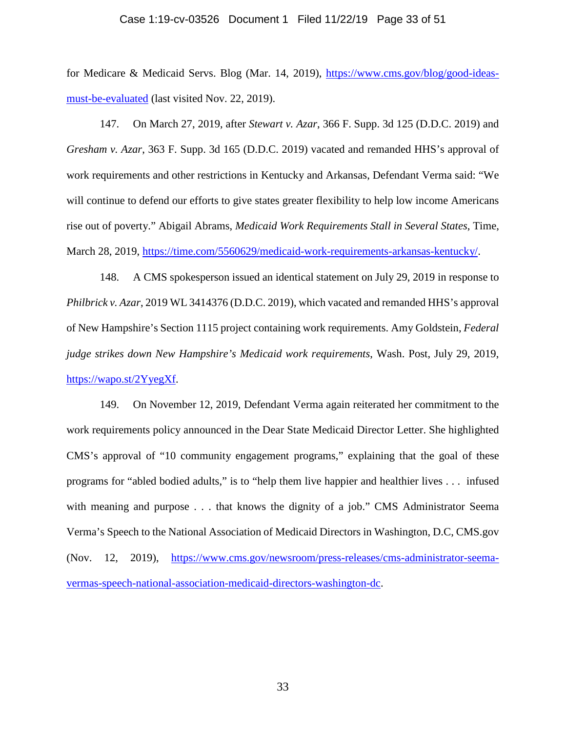#### Case 1:19-cv-03526 Document 1 Filed 11/22/19 Page 33 of 51

for Medicare & Medicaid Servs. Blog (Mar. 14, 2019), [https://www.cms.gov/blog/good-ideas](https://www.cms.gov/blog/good-ideas-must-be-evaluated)[must-be-evaluated](https://www.cms.gov/blog/good-ideas-must-be-evaluated) (last visited Nov. 22, 2019).

147. On March 27, 2019, after *Stewart v. Azar*, 366 F. Supp. 3d 125 (D.D.C. 2019) and *Gresham v. Azar*, 363 F. Supp. 3d 165 (D.D.C. 2019) vacated and remanded HHS's approval of work requirements and other restrictions in Kentucky and Arkansas, Defendant Verma said: "We will continue to defend our efforts to give states greater flexibility to help low income Americans rise out of poverty." Abigail Abrams, *Medicaid Work Requirements Stall in Several States*, Time, March 28, 2019, [https://time.com/5560629/medicaid-work-requirements-arkansas-kentucky/.](https://time.com/5560629/medicaid-work-requirements-arkansas-kentucky/)

148. A CMS spokesperson issued an identical statement on July 29, 2019 in response to *Philbrick v. Azar*, 2019 WL 3414376 (D.D.C. 2019), which vacated and remanded HHS's approval of New Hampshire's Section 1115 project containing work requirements. Amy Goldstein, *Federal judge strikes down New Hampshire's Medicaid work requirements*, Wash. Post, July 29, 2019, [https://wapo.st/2YyegXf.](https://wapo.st/2YyegXf)

149. On November 12, 2019, Defendant Verma again reiterated her commitment to the work requirements policy announced in the Dear State Medicaid Director Letter. She highlighted CMS's approval of "10 community engagement programs," explaining that the goal of these programs for "abled bodied adults," is to "help them live happier and healthier lives . . . infused with meaning and purpose . . . that knows the dignity of a job." CMS Administrator Seema Verma's Speech to the National Association of Medicaid Directors in Washington, D.C, CMS.gov (Nov. 12, 2019), [https://www.cms.gov/newsroom/press-releases/cms-administrator-seema](https://www.cms.gov/newsroom/press-releases/cms-administrator-seema-vermas-speech-national-association-medicaid-directors-washington-dc)[vermas-speech-national-association-medicaid-directors-washington-dc.](https://www.cms.gov/newsroom/press-releases/cms-administrator-seema-vermas-speech-national-association-medicaid-directors-washington-dc)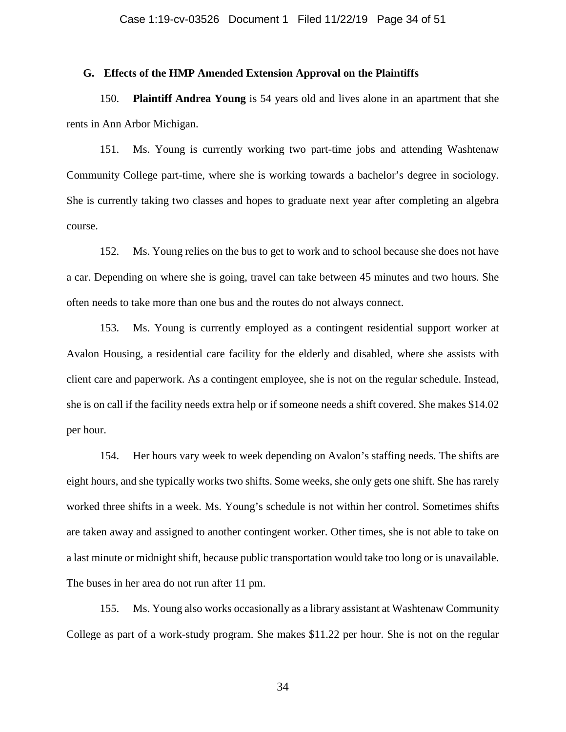# **G. Effects of the HMP Amended Extension Approval on the Plaintiffs**

150. **Plaintiff Andrea Young** is 54 years old and lives alone in an apartment that she rents in Ann Arbor Michigan.

151. Ms. Young is currently working two part-time jobs and attending Washtenaw Community College part-time, where she is working towards a bachelor's degree in sociology. She is currently taking two classes and hopes to graduate next year after completing an algebra course.

152. Ms. Young relies on the bus to get to work and to school because she does not have a car. Depending on where she is going, travel can take between 45 minutes and two hours. She often needs to take more than one bus and the routes do not always connect.

153. Ms. Young is currently employed as a contingent residential support worker at Avalon Housing, a residential care facility for the elderly and disabled, where she assists with client care and paperwork. As a contingent employee, she is not on the regular schedule. Instead, she is on call if the facility needs extra help or if someone needs a shift covered. She makes \$14.02 per hour.

154. Her hours vary week to week depending on Avalon's staffing needs. The shifts are eight hours, and she typically works two shifts. Some weeks, she only gets one shift. She has rarely worked three shifts in a week. Ms. Young's schedule is not within her control. Sometimes shifts are taken away and assigned to another contingent worker. Other times, she is not able to take on a last minute or midnight shift, because public transportation would take too long or is unavailable. The buses in her area do not run after 11 pm.

155. Ms. Young also works occasionally as a library assistant at Washtenaw Community College as part of a work-study program. She makes \$11.22 per hour. She is not on the regular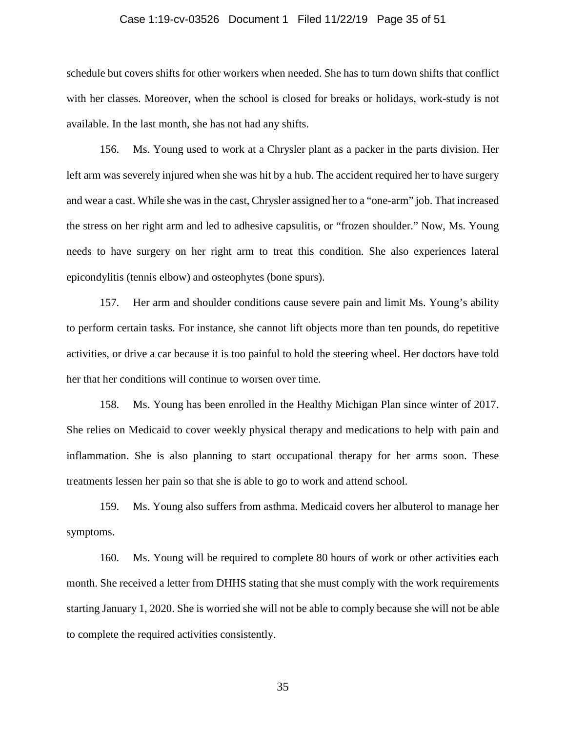# Case 1:19-cv-03526 Document 1 Filed 11/22/19 Page 35 of 51

schedule but covers shifts for other workers when needed. She has to turn down shifts that conflict with her classes. Moreover, when the school is closed for breaks or holidays, work-study is not available. In the last month, she has not had any shifts.

156. Ms. Young used to work at a Chrysler plant as a packer in the parts division. Her left arm was severely injured when she was hit by a hub. The accident required her to have surgery and wear a cast. While she was in the cast, Chrysler assigned her to a "one-arm" job. That increased the stress on her right arm and led to adhesive capsulitis, or "frozen shoulder." Now, Ms. Young needs to have surgery on her right arm to treat this condition. She also experiences lateral epicondylitis (tennis elbow) and osteophytes (bone spurs).

157. Her arm and shoulder conditions cause severe pain and limit Ms. Young's ability to perform certain tasks. For instance, she cannot lift objects more than ten pounds, do repetitive activities, or drive a car because it is too painful to hold the steering wheel. Her doctors have told her that her conditions will continue to worsen over time.

158. Ms. Young has been enrolled in the Healthy Michigan Plan since winter of 2017. She relies on Medicaid to cover weekly physical therapy and medications to help with pain and inflammation. She is also planning to start occupational therapy for her arms soon. These treatments lessen her pain so that she is able to go to work and attend school.

159. Ms. Young also suffers from asthma. Medicaid covers her albuterol to manage her symptoms.

160. Ms. Young will be required to complete 80 hours of work or other activities each month. She received a letter from DHHS stating that she must comply with the work requirements starting January 1, 2020. She is worried she will not be able to comply because she will not be able to complete the required activities consistently.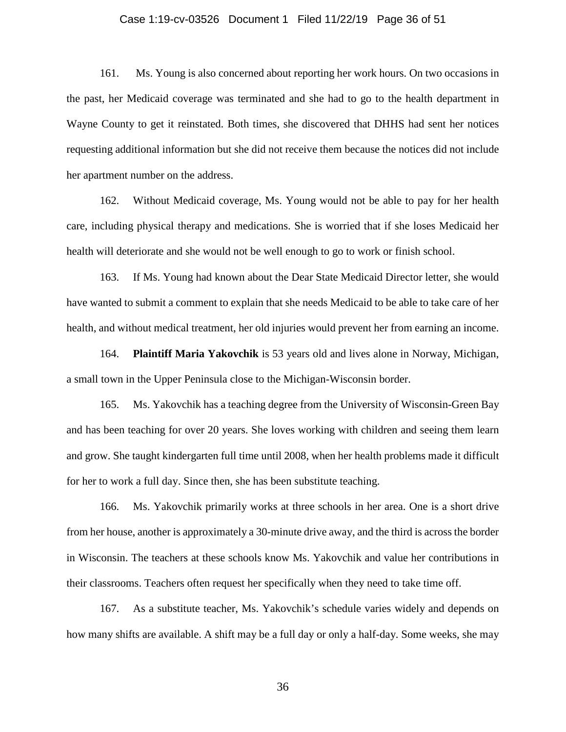# Case 1:19-cv-03526 Document 1 Filed 11/22/19 Page 36 of 51

161. Ms. Young is also concerned about reporting her work hours. On two occasions in the past, her Medicaid coverage was terminated and she had to go to the health department in Wayne County to get it reinstated. Both times, she discovered that DHHS had sent her notices requesting additional information but she did not receive them because the notices did not include her apartment number on the address.

162. Without Medicaid coverage, Ms. Young would not be able to pay for her health care, including physical therapy and medications. She is worried that if she loses Medicaid her health will deteriorate and she would not be well enough to go to work or finish school.

163. If Ms. Young had known about the Dear State Medicaid Director letter, she would have wanted to submit a comment to explain that she needs Medicaid to be able to take care of her health, and without medical treatment, her old injuries would prevent her from earning an income.

164. **Plaintiff Maria Yakovchik** is 53 years old and lives alone in Norway, Michigan, a small town in the Upper Peninsula close to the Michigan-Wisconsin border.

165. Ms. Yakovchik has a teaching degree from the University of Wisconsin-Green Bay and has been teaching for over 20 years. She loves working with children and seeing them learn and grow. She taught kindergarten full time until 2008, when her health problems made it difficult for her to work a full day. Since then, she has been substitute teaching.

166. Ms. Yakovchik primarily works at three schools in her area. One is a short drive from her house, another is approximately a 30-minute drive away, and the third is across the border in Wisconsin. The teachers at these schools know Ms. Yakovchik and value her contributions in their classrooms. Teachers often request her specifically when they need to take time off.

167. As a substitute teacher, Ms. Yakovchik's schedule varies widely and depends on how many shifts are available. A shift may be a full day or only a half-day. Some weeks, she may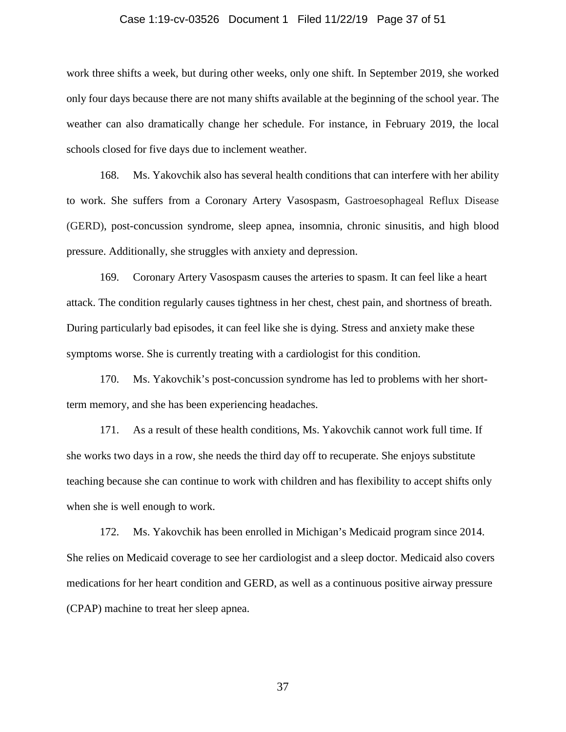# Case 1:19-cv-03526 Document 1 Filed 11/22/19 Page 37 of 51

work three shifts a week, but during other weeks, only one shift. In September 2019, she worked only four days because there are not many shifts available at the beginning of the school year. The weather can also dramatically change her schedule. For instance, in February 2019, the local schools closed for five days due to inclement weather.

168. Ms. Yakovchik also has several health conditions that can interfere with her ability to work. She suffers from a Coronary Artery Vasospasm, Gastroesophageal Reflux Disease (GERD), post-concussion syndrome, sleep apnea, insomnia, chronic sinusitis, and high blood pressure. Additionally, she struggles with anxiety and depression.

169. Coronary Artery Vasospasm causes the arteries to spasm. It can feel like a heart attack. The condition regularly causes tightness in her chest, chest pain, and shortness of breath. During particularly bad episodes, it can feel like she is dying. Stress and anxiety make these symptoms worse. She is currently treating with a cardiologist for this condition.

170. Ms. Yakovchik's post-concussion syndrome has led to problems with her shortterm memory, and she has been experiencing headaches.

171. As a result of these health conditions, Ms. Yakovchik cannot work full time. If she works two days in a row, she needs the third day off to recuperate. She enjoys substitute teaching because she can continue to work with children and has flexibility to accept shifts only when she is well enough to work.

172. Ms. Yakovchik has been enrolled in Michigan's Medicaid program since 2014. She relies on Medicaid coverage to see her cardiologist and a sleep doctor. Medicaid also covers medications for her heart condition and GERD, as well as a continuous positive airway pressure (CPAP) machine to treat her sleep apnea.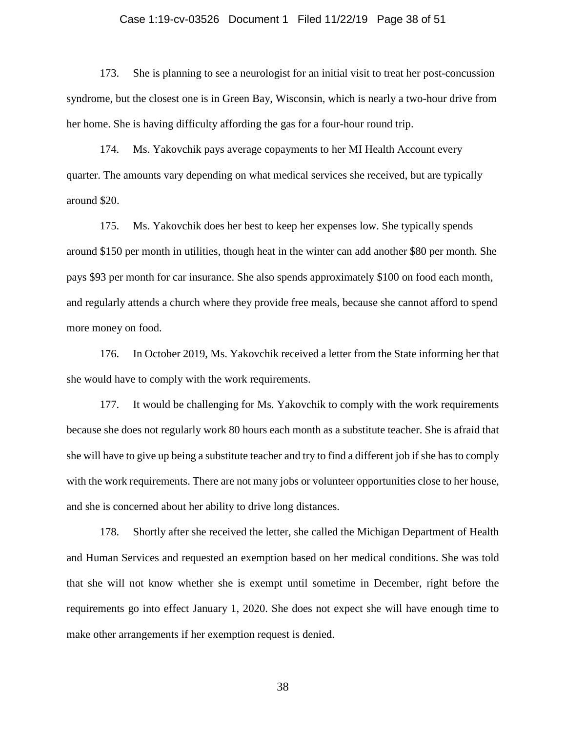# Case 1:19-cv-03526 Document 1 Filed 11/22/19 Page 38 of 51

173. She is planning to see a neurologist for an initial visit to treat her post-concussion syndrome, but the closest one is in Green Bay, Wisconsin, which is nearly a two-hour drive from her home. She is having difficulty affording the gas for a four-hour round trip.

174. Ms. Yakovchik pays average copayments to her MI Health Account every quarter. The amounts vary depending on what medical services she received, but are typically around \$20.

175. Ms. Yakovchik does her best to keep her expenses low. She typically spends around \$150 per month in utilities, though heat in the winter can add another \$80 per month. She pays \$93 per month for car insurance. She also spends approximately \$100 on food each month, and regularly attends a church where they provide free meals, because she cannot afford to spend more money on food.

176. In October 2019, Ms. Yakovchik received a letter from the State informing her that she would have to comply with the work requirements.

177. It would be challenging for Ms. Yakovchik to comply with the work requirements because she does not regularly work 80 hours each month as a substitute teacher. She is afraid that she will have to give up being a substitute teacher and try to find a different job if she has to comply with the work requirements. There are not many jobs or volunteer opportunities close to her house, and she is concerned about her ability to drive long distances.

178. Shortly after she received the letter, she called the Michigan Department of Health and Human Services and requested an exemption based on her medical conditions. She was told that she will not know whether she is exempt until sometime in December, right before the requirements go into effect January 1, 2020. She does not expect she will have enough time to make other arrangements if her exemption request is denied.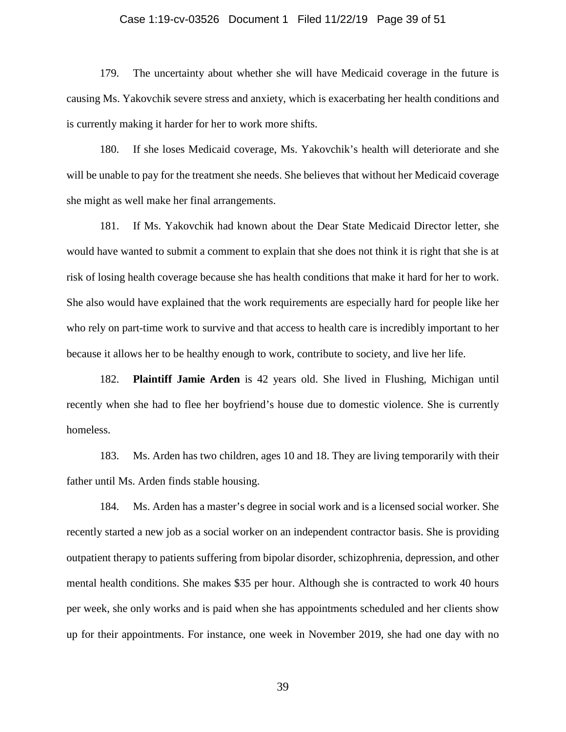# Case 1:19-cv-03526 Document 1 Filed 11/22/19 Page 39 of 51

179. The uncertainty about whether she will have Medicaid coverage in the future is causing Ms. Yakovchik severe stress and anxiety, which is exacerbating her health conditions and is currently making it harder for her to work more shifts.

180. If she loses Medicaid coverage, Ms. Yakovchik's health will deteriorate and she will be unable to pay for the treatment she needs. She believes that without her Medicaid coverage she might as well make her final arrangements.

181. If Ms. Yakovchik had known about the Dear State Medicaid Director letter, she would have wanted to submit a comment to explain that she does not think it is right that she is at risk of losing health coverage because she has health conditions that make it hard for her to work. She also would have explained that the work requirements are especially hard for people like her who rely on part-time work to survive and that access to health care is incredibly important to her because it allows her to be healthy enough to work, contribute to society, and live her life.

182. **Plaintiff Jamie Arden** is 42 years old. She lived in Flushing, Michigan until recently when she had to flee her boyfriend's house due to domestic violence. She is currently homeless.

183. Ms. Arden has two children, ages 10 and 18. They are living temporarily with their father until Ms. Arden finds stable housing.

184. Ms. Arden has a master's degree in social work and is a licensed social worker. She recently started a new job as a social worker on an independent contractor basis. She is providing outpatient therapy to patients suffering from bipolar disorder, schizophrenia, depression, and other mental health conditions. She makes \$35 per hour. Although she is contracted to work 40 hours per week, she only works and is paid when she has appointments scheduled and her clients show up for their appointments. For instance, one week in November 2019, she had one day with no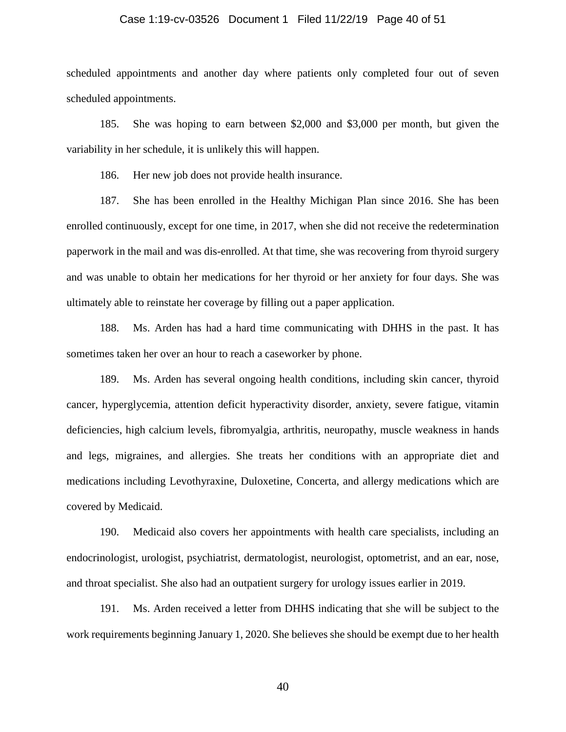# Case 1:19-cv-03526 Document 1 Filed 11/22/19 Page 40 of 51

scheduled appointments and another day where patients only completed four out of seven scheduled appointments.

185. She was hoping to earn between \$2,000 and \$3,000 per month, but given the variability in her schedule, it is unlikely this will happen.

186. Her new job does not provide health insurance.

187. She has been enrolled in the Healthy Michigan Plan since 2016. She has been enrolled continuously, except for one time, in 2017, when she did not receive the redetermination paperwork in the mail and was dis-enrolled. At that time, she was recovering from thyroid surgery and was unable to obtain her medications for her thyroid or her anxiety for four days. She was ultimately able to reinstate her coverage by filling out a paper application.

188. Ms. Arden has had a hard time communicating with DHHS in the past. It has sometimes taken her over an hour to reach a caseworker by phone.

189. Ms. Arden has several ongoing health conditions, including skin cancer, thyroid cancer, hyperglycemia, attention deficit hyperactivity disorder, anxiety, severe fatigue, vitamin deficiencies, high calcium levels, fibromyalgia, arthritis, neuropathy, muscle weakness in hands and legs, migraines, and allergies. She treats her conditions with an appropriate diet and medications including Levothyraxine, Duloxetine, Concerta, and allergy medications which are covered by Medicaid.

190. Medicaid also covers her appointments with health care specialists, including an endocrinologist, urologist, psychiatrist, dermatologist, neurologist, optometrist, and an ear, nose, and throat specialist. She also had an outpatient surgery for urology issues earlier in 2019.

191. Ms. Arden received a letter from DHHS indicating that she will be subject to the work requirements beginning January 1, 2020. She believes she should be exempt due to her health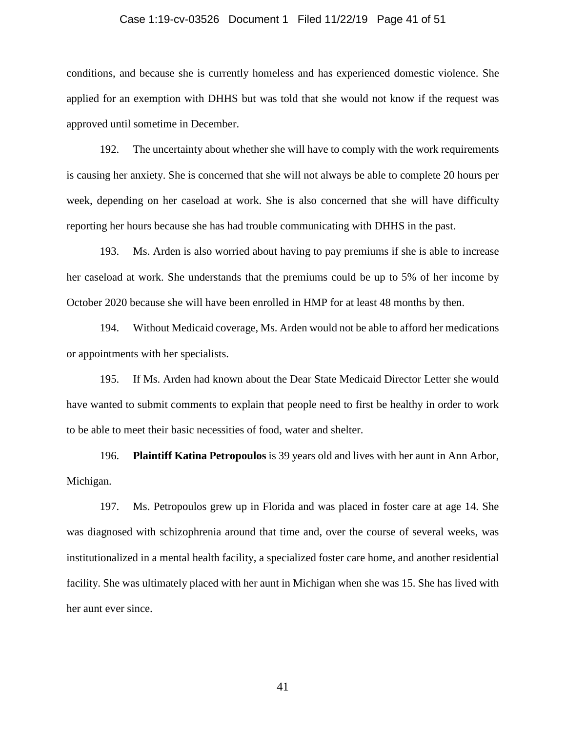# Case 1:19-cv-03526 Document 1 Filed 11/22/19 Page 41 of 51

conditions, and because she is currently homeless and has experienced domestic violence. She applied for an exemption with DHHS but was told that she would not know if the request was approved until sometime in December.

192. The uncertainty about whether she will have to comply with the work requirements is causing her anxiety. She is concerned that she will not always be able to complete 20 hours per week, depending on her caseload at work. She is also concerned that she will have difficulty reporting her hours because she has had trouble communicating with DHHS in the past.

193. Ms. Arden is also worried about having to pay premiums if she is able to increase her caseload at work. She understands that the premiums could be up to 5% of her income by October 2020 because she will have been enrolled in HMP for at least 48 months by then.

194. Without Medicaid coverage, Ms. Arden would not be able to afford her medications or appointments with her specialists.

195. If Ms. Arden had known about the Dear State Medicaid Director Letter she would have wanted to submit comments to explain that people need to first be healthy in order to work to be able to meet their basic necessities of food, water and shelter.

196. **Plaintiff Katina Petropoulos** is 39 years old and lives with her aunt in Ann Arbor, Michigan.

197. Ms. Petropoulos grew up in Florida and was placed in foster care at age 14. She was diagnosed with schizophrenia around that time and, over the course of several weeks, was institutionalized in a mental health facility, a specialized foster care home, and another residential facility. She was ultimately placed with her aunt in Michigan when she was 15. She has lived with her aunt ever since.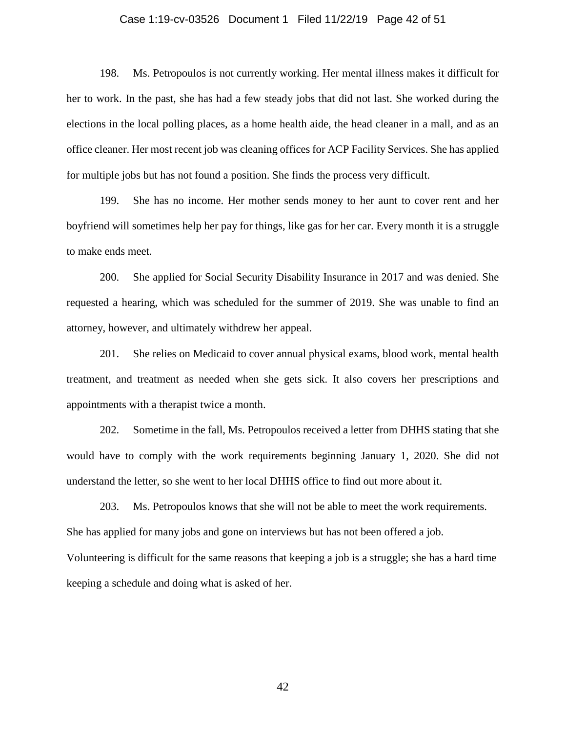# Case 1:19-cv-03526 Document 1 Filed 11/22/19 Page 42 of 51

198. Ms. Petropoulos is not currently working. Her mental illness makes it difficult for her to work. In the past, she has had a few steady jobs that did not last. She worked during the elections in the local polling places, as a home health aide, the head cleaner in a mall, and as an office cleaner. Her most recent job was cleaning offices for ACP Facility Services. She has applied for multiple jobs but has not found a position. She finds the process very difficult.

199. She has no income. Her mother sends money to her aunt to cover rent and her boyfriend will sometimes help her pay for things, like gas for her car. Every month it is a struggle to make ends meet.

200. She applied for Social Security Disability Insurance in 2017 and was denied. She requested a hearing, which was scheduled for the summer of 2019. She was unable to find an attorney, however, and ultimately withdrew her appeal.

201. She relies on Medicaid to cover annual physical exams, blood work, mental health treatment, and treatment as needed when she gets sick. It also covers her prescriptions and appointments with a therapist twice a month.

202. Sometime in the fall, Ms. Petropoulos received a letter from DHHS stating that she would have to comply with the work requirements beginning January 1, 2020. She did not understand the letter, so she went to her local DHHS office to find out more about it.

203. Ms. Petropoulos knows that she will not be able to meet the work requirements. She has applied for many jobs and gone on interviews but has not been offered a job. Volunteering is difficult for the same reasons that keeping a job is a struggle; she has a hard time keeping a schedule and doing what is asked of her.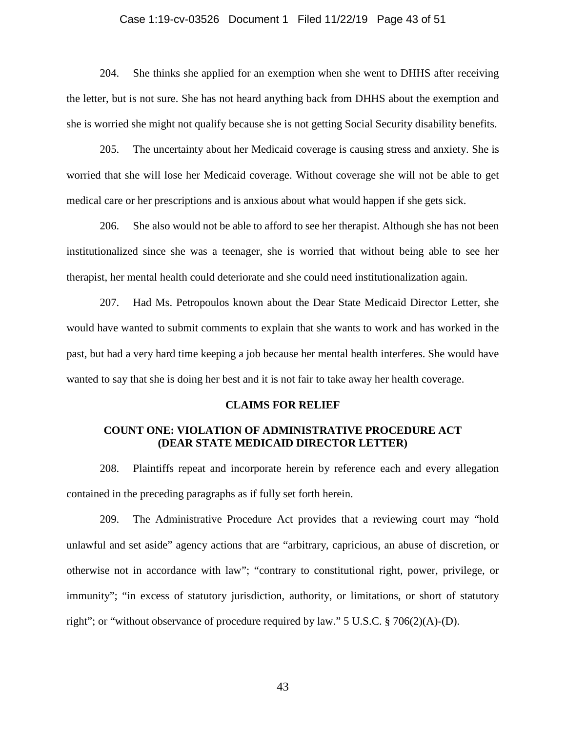# Case 1:19-cv-03526 Document 1 Filed 11/22/19 Page 43 of 51

204. She thinks she applied for an exemption when she went to DHHS after receiving the letter, but is not sure. She has not heard anything back from DHHS about the exemption and she is worried she might not qualify because she is not getting Social Security disability benefits.

205. The uncertainty about her Medicaid coverage is causing stress and anxiety. She is worried that she will lose her Medicaid coverage. Without coverage she will not be able to get medical care or her prescriptions and is anxious about what would happen if she gets sick.

206. She also would not be able to afford to see her therapist. Although she has not been institutionalized since she was a teenager, she is worried that without being able to see her therapist, her mental health could deteriorate and she could need institutionalization again.

207. Had Ms. Petropoulos known about the Dear State Medicaid Director Letter, she would have wanted to submit comments to explain that she wants to work and has worked in the past, but had a very hard time keeping a job because her mental health interferes. She would have wanted to say that she is doing her best and it is not fair to take away her health coverage.

#### **CLAIMS FOR RELIEF**

# **COUNT ONE: VIOLATION OF ADMINISTRATIVE PROCEDURE ACT (DEAR STATE MEDICAID DIRECTOR LETTER)**

208. Plaintiffs repeat and incorporate herein by reference each and every allegation contained in the preceding paragraphs as if fully set forth herein.

209. The Administrative Procedure Act provides that a reviewing court may "hold unlawful and set aside" agency actions that are "arbitrary, capricious, an abuse of discretion, or otherwise not in accordance with law"; "contrary to constitutional right, power, privilege, or immunity"; "in excess of statutory jurisdiction, authority, or limitations, or short of statutory right"; or "without observance of procedure required by law." 5 U.S.C. § 706(2)(A)-(D).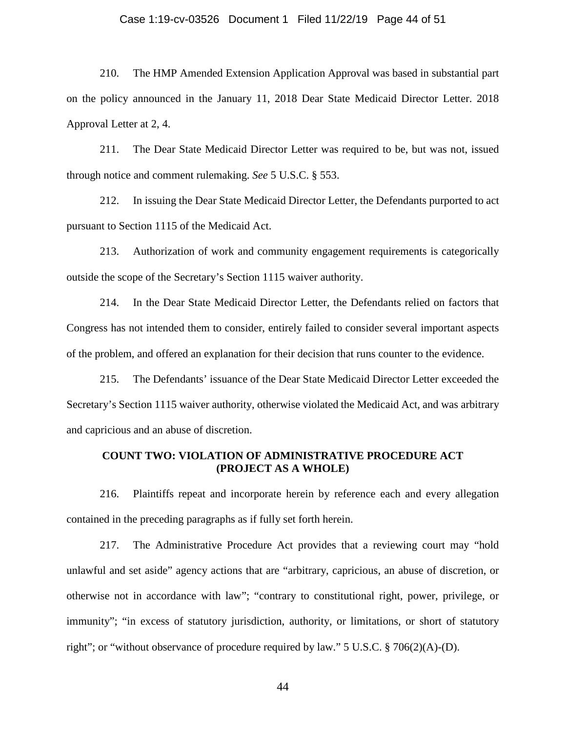# Case 1:19-cv-03526 Document 1 Filed 11/22/19 Page 44 of 51

210. The HMP Amended Extension Application Approval was based in substantial part on the policy announced in the January 11, 2018 Dear State Medicaid Director Letter. 2018 Approval Letter at 2, 4.

211. The Dear State Medicaid Director Letter was required to be, but was not, issued through notice and comment rulemaking. *See* 5 U.S.C. § 553.

212. In issuing the Dear State Medicaid Director Letter, the Defendants purported to act pursuant to Section 1115 of the Medicaid Act.

213. Authorization of work and community engagement requirements is categorically outside the scope of the Secretary's Section 1115 waiver authority.

214. In the Dear State Medicaid Director Letter, the Defendants relied on factors that Congress has not intended them to consider, entirely failed to consider several important aspects of the problem, and offered an explanation for their decision that runs counter to the evidence.

215. The Defendants' issuance of the Dear State Medicaid Director Letter exceeded the Secretary's Section 1115 waiver authority, otherwise violated the Medicaid Act, and was arbitrary and capricious and an abuse of discretion.

# **COUNT TWO: VIOLATION OF ADMINISTRATIVE PROCEDURE ACT (PROJECT AS A WHOLE)**

216. Plaintiffs repeat and incorporate herein by reference each and every allegation contained in the preceding paragraphs as if fully set forth herein.

217. The Administrative Procedure Act provides that a reviewing court may "hold unlawful and set aside" agency actions that are "arbitrary, capricious, an abuse of discretion, or otherwise not in accordance with law"; "contrary to constitutional right, power, privilege, or immunity"; "in excess of statutory jurisdiction, authority, or limitations, or short of statutory right"; or "without observance of procedure required by law."  $5 \text{ U.S.C.} \$   $706(2)(\text{A})$ -(D).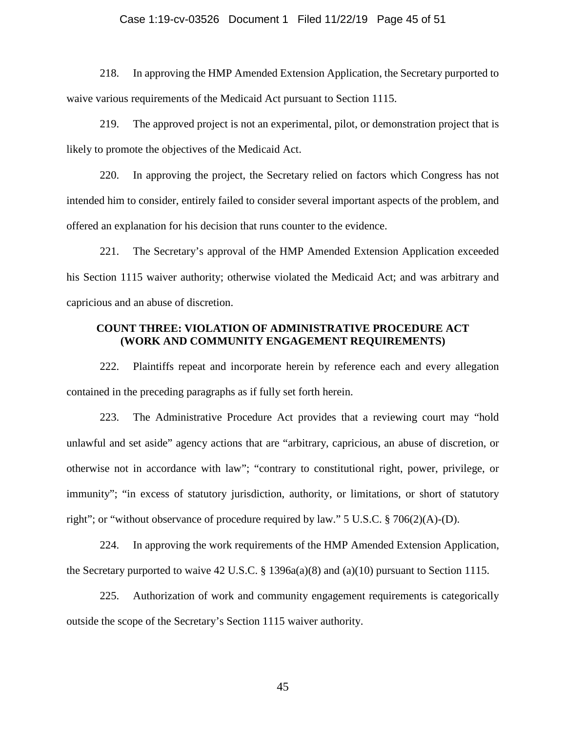# Case 1:19-cv-03526 Document 1 Filed 11/22/19 Page 45 of 51

218. In approving the HMP Amended Extension Application, the Secretary purported to waive various requirements of the Medicaid Act pursuant to Section 1115.

219. The approved project is not an experimental, pilot, or demonstration project that is likely to promote the objectives of the Medicaid Act.

220. In approving the project, the Secretary relied on factors which Congress has not intended him to consider, entirely failed to consider several important aspects of the problem, and offered an explanation for his decision that runs counter to the evidence.

221. The Secretary's approval of the HMP Amended Extension Application exceeded his Section 1115 waiver authority; otherwise violated the Medicaid Act; and was arbitrary and capricious and an abuse of discretion.

# **COUNT THREE: VIOLATION OF ADMINISTRATIVE PROCEDURE ACT (WORK AND COMMUNITY ENGAGEMENT REQUIREMENTS)**

222. Plaintiffs repeat and incorporate herein by reference each and every allegation contained in the preceding paragraphs as if fully set forth herein.

223. The Administrative Procedure Act provides that a reviewing court may "hold unlawful and set aside" agency actions that are "arbitrary, capricious, an abuse of discretion, or otherwise not in accordance with law"; "contrary to constitutional right, power, privilege, or immunity"; "in excess of statutory jurisdiction, authority, or limitations, or short of statutory right"; or "without observance of procedure required by law."  $5 \text{ U.S.C. }$   $\S$  706(2)(A)-(D).

224. In approving the work requirements of the HMP Amended Extension Application, the Secretary purported to waive 42 U.S.C. § 1396a(a)(8) and (a)(10) pursuant to Section 1115.

225. Authorization of work and community engagement requirements is categorically outside the scope of the Secretary's Section 1115 waiver authority.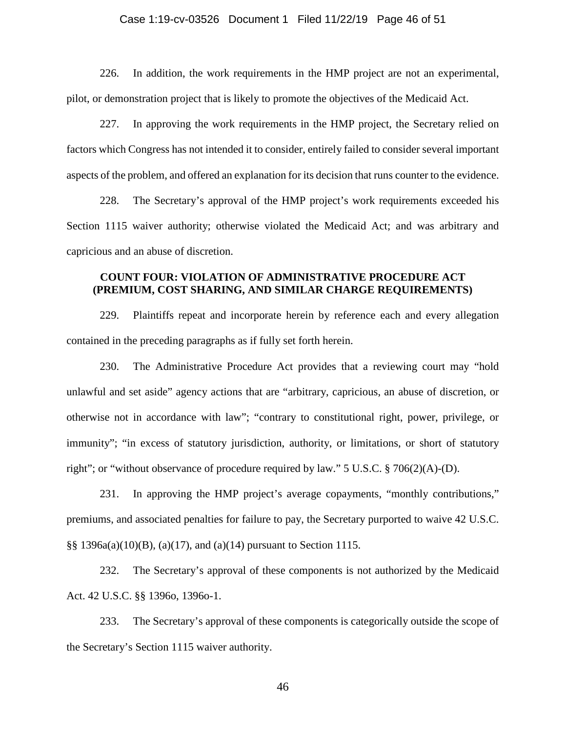# Case 1:19-cv-03526 Document 1 Filed 11/22/19 Page 46 of 51

226. In addition, the work requirements in the HMP project are not an experimental, pilot, or demonstration project that is likely to promote the objectives of the Medicaid Act.

227. In approving the work requirements in the HMP project, the Secretary relied on factors which Congress has not intended it to consider, entirely failed to consider several important aspects of the problem, and offered an explanation for its decision that runs counter to the evidence.

228. The Secretary's approval of the HMP project's work requirements exceeded his Section 1115 waiver authority; otherwise violated the Medicaid Act; and was arbitrary and capricious and an abuse of discretion.

# **COUNT FOUR: VIOLATION OF ADMINISTRATIVE PROCEDURE ACT (PREMIUM, COST SHARING, AND SIMILAR CHARGE REQUIREMENTS)**

229. Plaintiffs repeat and incorporate herein by reference each and every allegation contained in the preceding paragraphs as if fully set forth herein.

230. The Administrative Procedure Act provides that a reviewing court may "hold unlawful and set aside" agency actions that are "arbitrary, capricious, an abuse of discretion, or otherwise not in accordance with law"; "contrary to constitutional right, power, privilege, or immunity"; "in excess of statutory jurisdiction, authority, or limitations, or short of statutory right"; or "without observance of procedure required by law."  $5 \text{ U.S.C.} \$   $706(2)(\text{A})$ -(D).

231. In approving the HMP project's average copayments, "monthly contributions," premiums, and associated penalties for failure to pay, the Secretary purported to waive 42 U.S.C. §§ 1396a(a)(10)(B), (a)(17), and (a)(14) pursuant to Section 1115.

232. The Secretary's approval of these components is not authorized by the Medicaid Act. 42 U.S.C. §§ 1396o, 1396o-1.

233. The Secretary's approval of these components is categorically outside the scope of the Secretary's Section 1115 waiver authority.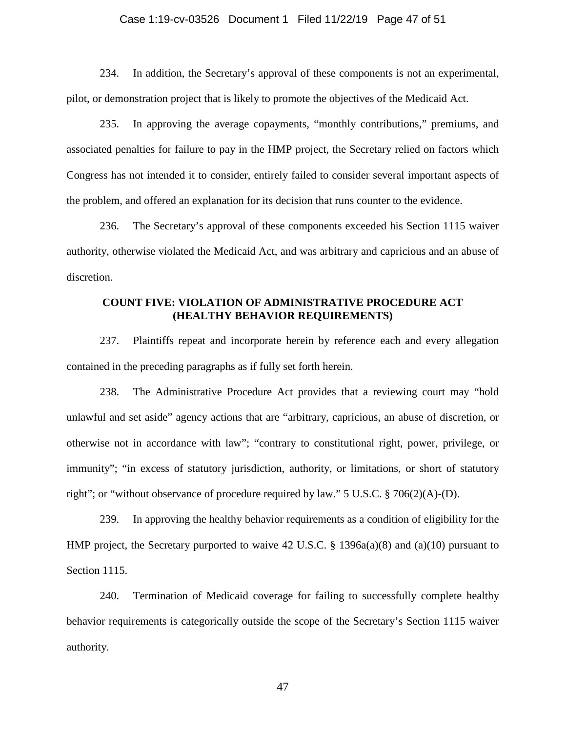# Case 1:19-cv-03526 Document 1 Filed 11/22/19 Page 47 of 51

234. In addition, the Secretary's approval of these components is not an experimental, pilot, or demonstration project that is likely to promote the objectives of the Medicaid Act.

235. In approving the average copayments, "monthly contributions," premiums, and associated penalties for failure to pay in the HMP project, the Secretary relied on factors which Congress has not intended it to consider, entirely failed to consider several important aspects of the problem, and offered an explanation for its decision that runs counter to the evidence.

236. The Secretary's approval of these components exceeded his Section 1115 waiver authority, otherwise violated the Medicaid Act, and was arbitrary and capricious and an abuse of discretion.

# **COUNT FIVE: VIOLATION OF ADMINISTRATIVE PROCEDURE ACT (HEALTHY BEHAVIOR REQUIREMENTS)**

237. Plaintiffs repeat and incorporate herein by reference each and every allegation contained in the preceding paragraphs as if fully set forth herein.

238. The Administrative Procedure Act provides that a reviewing court may "hold unlawful and set aside" agency actions that are "arbitrary, capricious, an abuse of discretion, or otherwise not in accordance with law"; "contrary to constitutional right, power, privilege, or immunity"; "in excess of statutory jurisdiction, authority, or limitations, or short of statutory right"; or "without observance of procedure required by law." 5 U.S.C. § 706(2)(A)-(D).

239. In approving the healthy behavior requirements as a condition of eligibility for the HMP project, the Secretary purported to waive 42 U.S.C. § 1396a(a)(8) and (a)(10) pursuant to Section 1115.

240. Termination of Medicaid coverage for failing to successfully complete healthy behavior requirements is categorically outside the scope of the Secretary's Section 1115 waiver authority.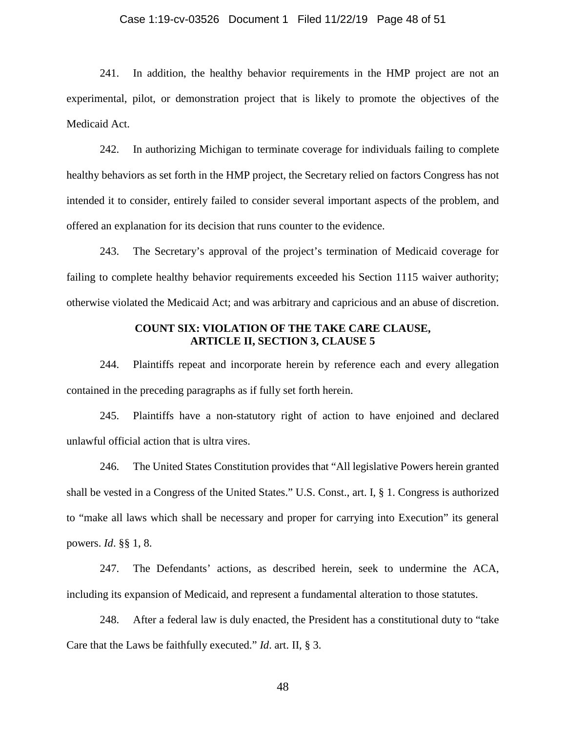# Case 1:19-cv-03526 Document 1 Filed 11/22/19 Page 48 of 51

241. In addition, the healthy behavior requirements in the HMP project are not an experimental, pilot, or demonstration project that is likely to promote the objectives of the Medicaid Act.

242. In authorizing Michigan to terminate coverage for individuals failing to complete healthy behaviors as set forth in the HMP project, the Secretary relied on factors Congress has not intended it to consider, entirely failed to consider several important aspects of the problem, and offered an explanation for its decision that runs counter to the evidence.

243. The Secretary's approval of the project's termination of Medicaid coverage for failing to complete healthy behavior requirements exceeded his Section 1115 waiver authority; otherwise violated the Medicaid Act; and was arbitrary and capricious and an abuse of discretion.

# **COUNT SIX: VIOLATION OF THE TAKE CARE CLAUSE, ARTICLE II, SECTION 3, CLAUSE 5**

244. Plaintiffs repeat and incorporate herein by reference each and every allegation contained in the preceding paragraphs as if fully set forth herein.

245. Plaintiffs have a non-statutory right of action to have enjoined and declared unlawful official action that is ultra vires.

246. The United States Constitution provides that "All legislative Powers herein granted shall be vested in a Congress of the United States." U.S. Const., art. I, § 1. Congress is authorized to "make all laws which shall be necessary and proper for carrying into Execution" its general powers. *Id*. §§ 1, 8.

247. The Defendants' actions, as described herein, seek to undermine the ACA, including its expansion of Medicaid, and represent a fundamental alteration to those statutes.

248. After a federal law is duly enacted, the President has a constitutional duty to "take Care that the Laws be faithfully executed." *Id*. art. II, § 3.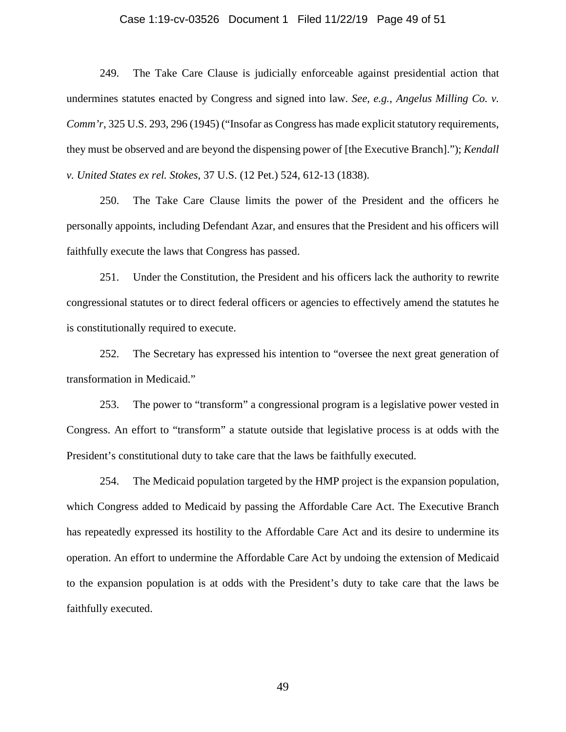# Case 1:19-cv-03526 Document 1 Filed 11/22/19 Page 49 of 51

249. The Take Care Clause is judicially enforceable against presidential action that undermines statutes enacted by Congress and signed into law. *See, e.g.*, *Angelus Milling Co. v. Comm'r*, 325 U.S. 293, 296 (1945) ("Insofar as Congress has made explicit statutory requirements, they must be observed and are beyond the dispensing power of [the Executive Branch]."); *Kendall v. United States ex rel. Stokes*, 37 U.S. (12 Pet.) 524, 612-13 (1838).

250. The Take Care Clause limits the power of the President and the officers he personally appoints, including Defendant Azar, and ensures that the President and his officers will faithfully execute the laws that Congress has passed.

251. Under the Constitution, the President and his officers lack the authority to rewrite congressional statutes or to direct federal officers or agencies to effectively amend the statutes he is constitutionally required to execute.

252. The Secretary has expressed his intention to "oversee the next great generation of transformation in Medicaid."

253. The power to "transform" a congressional program is a legislative power vested in Congress. An effort to "transform" a statute outside that legislative process is at odds with the President's constitutional duty to take care that the laws be faithfully executed.

254. The Medicaid population targeted by the HMP project is the expansion population, which Congress added to Medicaid by passing the Affordable Care Act. The Executive Branch has repeatedly expressed its hostility to the Affordable Care Act and its desire to undermine its operation. An effort to undermine the Affordable Care Act by undoing the extension of Medicaid to the expansion population is at odds with the President's duty to take care that the laws be faithfully executed.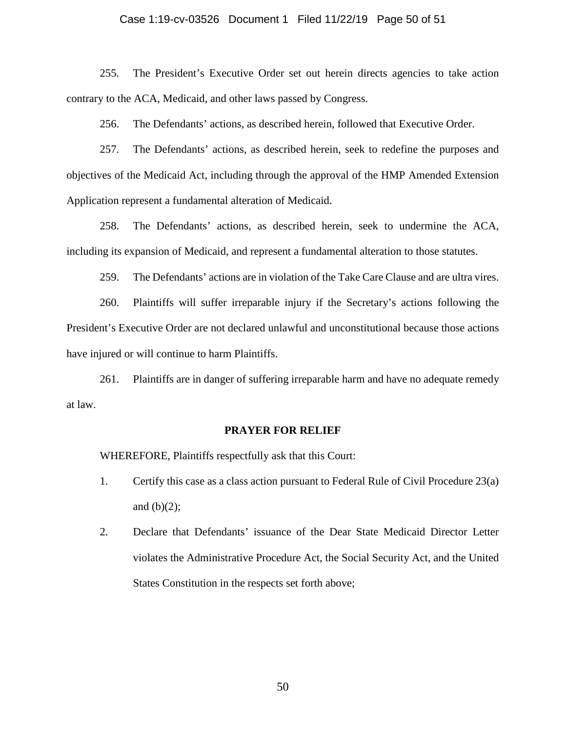# Case 1:19-cv-03526 Document 1 Filed 11/22/19 Page 50 of 51

255. The President's Executive Order set out herein directs agencies to take action contrary to the ACA, Medicaid, and other laws passed by Congress.

256. The Defendants' actions, as described herein, followed that Executive Order.

257. The Defendants' actions, as described herein, seek to redefine the purposes and objectives of the Medicaid Act, including through the approval of the HMP Amended Extension Application represent a fundamental alteration of Medicaid.

258. The Defendants' actions, as described herein, seek to undermine the ACA, including its expansion of Medicaid, and represent a fundamental alteration to those statutes.

259. The Defendants' actions are in violation of the Take Care Clause and are ultra vires.

260. Plaintiffs will suffer irreparable injury if the Secretary's actions following the President's Executive Order are not declared unlawful and unconstitutional because those actions have injured or will continue to harm Plaintiffs.

261. Plaintiffs are in danger of suffering irreparable harm and have no adequate remedy at law.

#### **PRAYER FOR RELIEF**

WHEREFORE, Plaintiffs respectfully ask that this Court:

- 1. Certify this case as a class action pursuant to Federal Rule of Civil Procedure 23(a) and  $(b)(2)$ ;
- 2. Declare that Defendants' issuance of the Dear State Medicaid Director Letter violates the Administrative Procedure Act, the Social Security Act, and the United States Constitution in the respects set forth above;